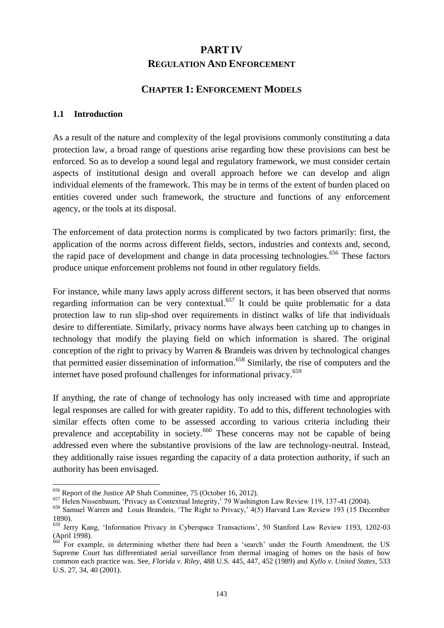# **PART IV REGULATION AND ENFORCEMENT**

## **CHAPTER 1: ENFORCEMENT MODELS**

### **1.1 Introduction**

As a result of the nature and complexity of the legal provisions commonly constituting a data protection law, a broad range of questions arise regarding how these provisions can best be enforced. So as to develop a sound legal and regulatory framework, we must consider certain aspects of institutional design and overall approach before we can develop and align individual elements of the framework. This may be in terms of the extent of burden placed on entities covered under such framework, the structure and functions of any enforcement agency, or the tools at its disposal.

The enforcement of data protection norms is complicated by two factors primarily: first, the application of the norms across different fields, sectors, industries and contexts and, second, the rapid pace of development and change in data processing technologies.<sup>656</sup> These factors produce unique enforcement problems not found in other regulatory fields.

For instance, while many laws apply across different sectors, it has been observed that norms regarding information can be very contextual.<sup>657</sup> It could be quite problematic for a data protection law to run slip-shod over requirements in distinct walks of life that individuals desire to differentiate. Similarly, privacy norms have always been catching up to changes in technology that modify the playing field on which information is shared. The original conception of the right to privacy by Warren & Brandeis was driven by technological changes that permitted easier dissemination of information.<sup>658</sup> Similarly, the rise of computers and the internet have posed profound challenges for informational privacy.<sup>659</sup>

If anything, the rate of change of technology has only increased with time and appropriate legal responses are called for with greater rapidity. To add to this, different technologies with similar effects often come to be assessed according to various criteria including their prevalence and acceptability in society.<sup>660</sup> These concerns may not be capable of being addressed even where the substantive provisions of the law are technology-neutral. Instead, they additionally raise issues regarding the capacity of a data protection authority, if such an authority has been envisaged.

 $\overline{\phantom{a}}$ 

<sup>656</sup> Report of the Justice AP Shah Committee, 75 (October 16, 2012).

<sup>&</sup>lt;sup>657</sup> Helen Nissenbaum, 'Privacy as Contextual Integrity,' 79 Washington Law Review 119, 137-41 (2004).

 $658$  Samuel Warren and Louis Brandeis, 'The Right to Privacy,'  $4(5)$  Harvard Law Review 193 (15 December 1890).

<sup>&</sup>lt;sup>659</sup> Jerry Kang, 'Information Privacy in Cyberspace Transactions', 50 Stanford Law Review 1193, 1202-03 (April 1998).

 $660<sup>1</sup>$  For example, in determining whether there had been a 'search' under the Fourth Amendment, the US Supreme Court has differentiated aerial surveillance from thermal imaging of homes on the basis of how common each practice was. See, *Florida v. Riley*, 488 U.S. 445, 447, 452 (1989) and *Kyllo v. United States*, 533 U.S. 27, 34, 40 (2001).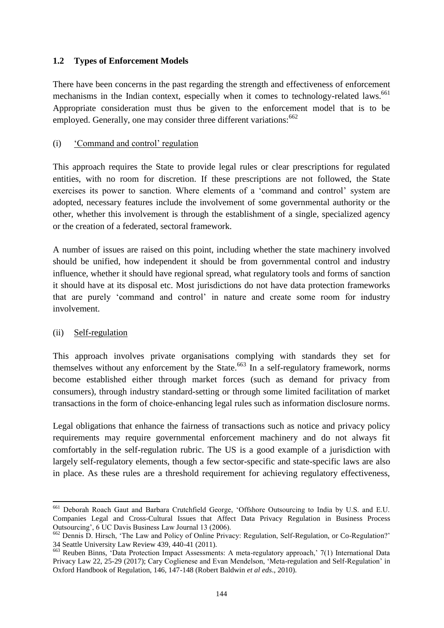### **1.2 Types of Enforcement Models**

There have been concerns in the past regarding the strength and effectiveness of enforcement mechanisms in the Indian context, especially when it comes to technology-related laws.<sup>661</sup> Appropriate consideration must thus be given to the enforcement model that is to be employed. Generally, one may consider three different variations:<sup>662</sup>

#### (i) ‗Command and control' regulation

This approach requires the State to provide legal rules or clear prescriptions for regulated entities, with no room for discretion. If these prescriptions are not followed, the State exercises its power to sanction. Where elements of a 'command and control' system are adopted, necessary features include the involvement of some governmental authority or the other, whether this involvement is through the establishment of a single, specialized agency or the creation of a federated, sectoral framework.

A number of issues are raised on this point, including whether the state machinery involved should be unified, how independent it should be from governmental control and industry influence, whether it should have regional spread, what regulatory tools and forms of sanction it should have at its disposal etc. Most jurisdictions do not have data protection frameworks that are purely ‗command and control' in nature and create some room for industry involvement.

#### (ii) Self-regulation

This approach involves private organisations complying with standards they set for themselves without any enforcement by the State. $663$  In a self-regulatory framework, norms become established either through market forces (such as demand for privacy from consumers), through industry standard-setting or through some limited facilitation of market transactions in the form of choice-enhancing legal rules such as information disclosure norms.

Legal obligations that enhance the fairness of transactions such as notice and privacy policy requirements may require governmental enforcement machinery and do not always fit comfortably in the self-regulation rubric. The US is a good example of a jurisdiction with largely self-regulatory elements, though a few sector-specific and state-specific laws are also in place. As these rules are a threshold requirement for achieving regulatory effectiveness,

 $\overline{\phantom{a}}$ <sup>661</sup> Deborah Roach Gaut and Barbara Crutchfield George, 'Offshore Outsourcing to India by U.S. and E.U. Companies Legal and Cross-Cultural Issues that Affect Data Privacy Regulation in Business Process Outsourcing', 6 UC Davis Business Law Journal 13 (2006).

<sup>662</sup> Dennis D. Hirsch, ‗The Law and Policy of Online Privacy: Regulation, Self-Regulation, or Co-Regulation?' 34 Seattle University Law Review 439, 440-41 (2011).

<sup>663</sup> Reuben Binns, ‗Data Protection Impact Assessments: A meta-regulatory approach,' 7(1) International Data Privacy Law 22, 25-29 (2017); Cary Coglienese and Evan Mendelson, 'Meta-regulation and Self-Regulation' in Oxford Handbook of Regulation, 146, 147-148 (Robert Baldwin *et al eds*., 2010).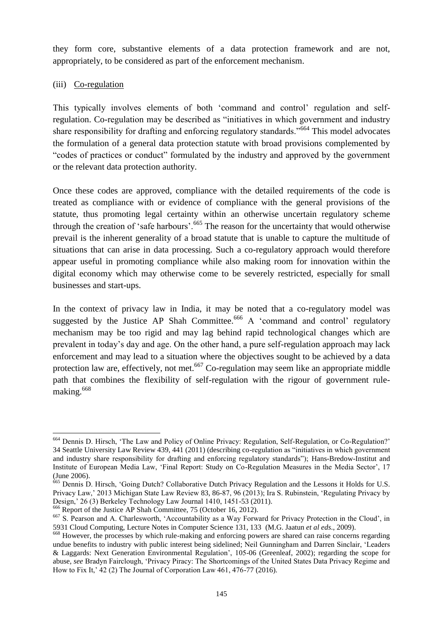they form core, substantive elements of a data protection framework and are not, appropriately, to be considered as part of the enforcement mechanism.

### (iii) Co-regulation

 $\overline{\phantom{a}}$ 

This typically involves elements of both 'command and control' regulation and selfregulation. Co-regulation may be described as "initiatives in which government and industry share responsibility for drafting and enforcing regulatory standards."<sup>664</sup> This model advocates the formulation of a general data protection statute with broad provisions complemented by ―codes of practices or conduct‖ formulated by the industry and approved by the government or the relevant data protection authority.

Once these codes are approved, compliance with the detailed requirements of the code is treated as compliance with or evidence of compliance with the general provisions of the statute, thus promoting legal certainty within an otherwise uncertain regulatory scheme through the creation of 'safe harbours'.<sup>665</sup> The reason for the uncertainty that would otherwise prevail is the inherent generality of a broad statute that is unable to capture the multitude of situations that can arise in data processing. Such a co-regulatory approach would therefore appear useful in promoting compliance while also making room for innovation within the digital economy which may otherwise come to be severely restricted, especially for small businesses and start-ups.

In the context of privacy law in India, it may be noted that a co-regulatory model was suggested by the Justice AP Shah Committee.<sup>666</sup> A 'command and control' regulatory mechanism may be too rigid and may lag behind rapid technological changes which are prevalent in today's day and age. On the other hand, a pure self-regulation approach may lack enforcement and may lead to a situation where the objectives sought to be achieved by a data protection law are, effectively, not met.<sup>667</sup> Co-regulation may seem like an appropriate middle path that combines the flexibility of self-regulation with the rigour of government rulemaking.<sup>668</sup>

<sup>&</sup>lt;sup>664</sup> Dennis D. Hirsch, 'The Law and Policy of Online Privacy: Regulation, Self-Regulation, or Co-Regulation?' 34 Seattle University Law Review 439, 441 (2011) (describing co-regulation as "initiatives in which government and industry share responsibility for drafting and enforcing regulatory standards"); Hans-Bredow-Institut and Institute of European Media Law, ‗Final Report: Study on Co-Regulation Measures in the Media Sector', 17 (June 2006).

<sup>&</sup>lt;sup>665</sup> Dennis D. Hirsch, 'Going Dutch? Collaborative Dutch Privacy Regulation and the Lessons it Holds for U.S. Privacy Law,' 2013 Michigan State Law Review 83, 86-87, 96 (2013); Ira S. Rubinstein, 'Regulating Privacy by Design,' 26 (3) Berkeley Technology Law Journal 1410, 1451-53 (2011).

<sup>&</sup>lt;sup>666</sup> Report of the Justice AP Shah Committee, 75 (October 16, 2012).

<sup>&</sup>lt;sup>667</sup> S. Pearson and A. Charlesworth, 'Accountability as a Way Forward for Privacy Protection in the Cloud', in 5931 Cloud Computing, Lecture Notes in Computer Science 131, 133 (M.G. Jaatun *et al eds*., 2009).

<sup>&</sup>lt;sup>668</sup> However, the processes by which rule-making and enforcing powers are shared can raise concerns regarding undue benefits to industry with public interest being sidelined; Neil Gunningham and Darren Sinclair, ‗Leaders & Laggards: Next Generation Environmental Regulation', 105-06 (Greenleaf, 2002); regarding the scope for abuse, *see* Bradyn Fairclough, 'Privacy Piracy: The Shortcomings of the United States Data Privacy Regime and How to Fix It,' 42 (2) The Journal of Corporation Law 461, 476-77 (2016).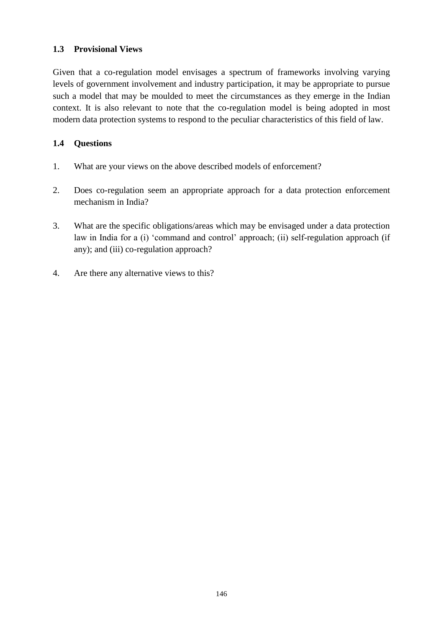## **1.3 Provisional Views**

Given that a co-regulation model envisages a spectrum of frameworks involving varying levels of government involvement and industry participation, it may be appropriate to pursue such a model that may be moulded to meet the circumstances as they emerge in the Indian context. It is also relevant to note that the co-regulation model is being adopted in most modern data protection systems to respond to the peculiar characteristics of this field of law.

### **1.4 Questions**

- 1. What are your views on the above described models of enforcement?
- 2. Does co-regulation seem an appropriate approach for a data protection enforcement mechanism in India?
- 3. What are the specific obligations/areas which may be envisaged under a data protection law in India for a (i) 'command and control' approach; (ii) self-regulation approach (if any); and (iii) co-regulation approach?
- 4. Are there any alternative views to this?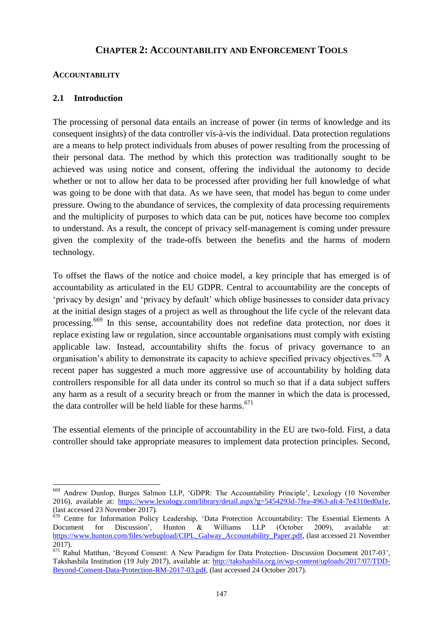## **CHAPTER 2: ACCOUNTABILITY AND ENFORCEMENT TOOLS**

### **ACCOUNTABILITY**

### **2.1 Introduction**

 $\overline{\phantom{a}}$ 

The processing of personal data entails an increase of power (in terms of knowledge and its consequent insights) of the data controller vis-à-vis the individual. Data protection regulations are a means to help protect individuals from abuses of power resulting from the processing of their personal data. The method by which this protection was traditionally sought to be achieved was using notice and consent, offering the individual the autonomy to decide whether or not to allow her data to be processed after providing her full knowledge of what was going to be done with that data. As we have seen, that model has begun to come under pressure. Owing to the abundance of services, the complexity of data processing requirements and the multiplicity of purposes to which data can be put, notices have become too complex to understand. As a result, the concept of privacy self-management is coming under pressure given the complexity of the trade-offs between the benefits and the harms of modern technology.

To offset the flaws of the notice and choice model, a key principle that has emerged is of accountability as articulated in the EU GDPR. Central to accountability are the concepts of ‗privacy by design' and ‗privacy by default' which oblige businesses to consider data privacy at the initial design stages of a project as well as throughout the life cycle of the relevant data processing.<sup>669</sup> In this sense, accountability does not redefine data protection, nor does it replace existing law or regulation, since accountable organisations must comply with existing applicable law. Instead, accountability shifts the focus of privacy governance to an organisation's ability to demonstrate its capacity to achieve specified privacy objectives.<sup>670</sup> A recent paper has suggested a much more aggressive use of accountability by holding data controllers responsible for all data under its control so much so that if a data subject suffers any harm as a result of a security breach or from the manner in which the data is processed, the data controller will be held liable for these harms. $671$ 

The essential elements of the principle of accountability in the EU are two-fold. First, a data controller should take appropriate measures to implement data protection principles. Second,

<sup>&</sup>lt;sup>669</sup> Andrew Dunlop, Burges Salmon LLP, 'GDPR: The Accountability Principle', Lexology (10 November 2016), available at: [https://www.lexology.com/library/detail.aspx?g=5454293d-7fea-4963-afc4-7e4310ed0a1e,](https://mailtrack.io/trace/link/e3d5a86a59461ca0879a7db133661a82bb0ca1d6?url=https%3A%2F%2Fwww.lexology.com%2Flibrary%2Fdetail.aspx%3Fg%3D5454293d-7fea-4963-afc4-7e4310ed0a1e&userId=2263510&signature=a4b8db4d41fa96e5) (last accessed 23 November 2017).

 $670$  Centre for Information Policy Leadership, 'Data Protection Accountability: The Essential Elements A Document for Discussion', Hunton & Williams LLP (October 2009), available at: [https://www.hunton.com/files/webupload/CIPL\\_Galway\\_Accountability\\_Paper.pdf,](https://www.hunton.com/files/webupload/CIPL_Galway_Accountability_Paper.pdf) (last accessed 21 November 2017).

<sup>&</sup>lt;sup>671</sup> Rahul Matthan, 'Beyond Consent: A New Paradigm for Data Protection- Discussion Document 2017-03', Takshashila Institution (19 July 2017), available at: [http://takshashila.org.in/wp-content/uploads/2017/07/TDD-](http://takshashila.org.in/wp-content/uploads/2017/07/TDD-Beyond-Consent-Data-Protection-RM-2017-03.pdf)[Beyond-Consent-Data-Protection-RM-2017-03.pdf,](http://takshashila.org.in/wp-content/uploads/2017/07/TDD-Beyond-Consent-Data-Protection-RM-2017-03.pdf) (last accessed 24 October 2017).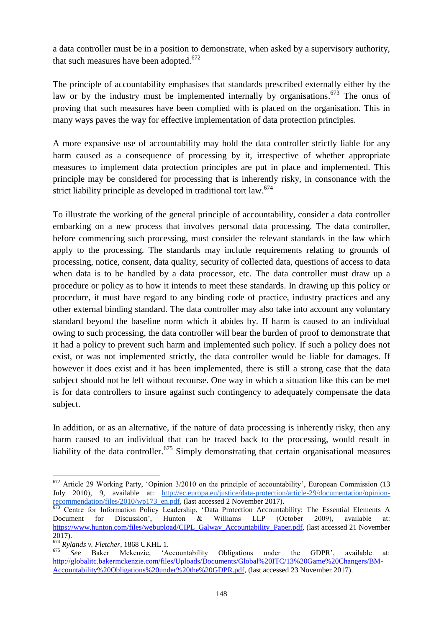a data controller must be in a position to demonstrate, when asked by a supervisory authority, that such measures have been adopted. $672$ 

The principle of accountability emphasises that standards prescribed externally either by the law or by the industry must be implemented internally by organisations.<sup>673</sup> The onus of proving that such measures have been complied with is placed on the organisation. This in many ways paves the way for effective implementation of data protection principles.

A more expansive use of accountability may hold the data controller strictly liable for any harm caused as a consequence of processing by it, irrespective of whether appropriate measures to implement data protection principles are put in place and implemented. This principle may be considered for processing that is inherently risky, in consonance with the strict liability principle as developed in traditional tort law.<sup>674</sup>

To illustrate the working of the general principle of accountability, consider a data controller embarking on a new process that involves personal data processing. The data controller, before commencing such processing, must consider the relevant standards in the law which apply to the processing. The standards may include requirements relating to grounds of processing, notice, consent, data quality, security of collected data, questions of access to data when data is to be handled by a data processor, etc. The data controller must draw up a procedure or policy as to how it intends to meet these standards. In drawing up this policy or procedure, it must have regard to any binding code of practice, industry practices and any other external binding standard. The data controller may also take into account any voluntary standard beyond the baseline norm which it abides by. If harm is caused to an individual owing to such processing, the data controller will bear the burden of proof to demonstrate that it had a policy to prevent such harm and implemented such policy. If such a policy does not exist, or was not implemented strictly, the data controller would be liable for damages. If however it does exist and it has been implemented, there is still a strong case that the data subject should not be left without recourse. One way in which a situation like this can be met is for data controllers to insure against such contingency to adequately compensate the data subject.

In addition, or as an alternative, if the nature of data processing is inherently risky, then any harm caused to an individual that can be traced back to the processing, would result in liability of the data controller.<sup>675</sup> Simply demonstrating that certain organisational measures

 $\overline{\phantom{a}}$ 

 $672$  Article 29 Working Party, 'Opinion 3/2010 on the principle of accountability', European Commission (13 July 2010), 9, available at: [http://ec.europa.eu/justice/data-protection/article-29/documentation/opinion](http://ec.europa.eu/justice/data-protection/article-29/documentation/opinion-recommendation/files/2010/wp173_en.pdf)[recommendation/files/2010/wp173\\_en.pdf,](http://ec.europa.eu/justice/data-protection/article-29/documentation/opinion-recommendation/files/2010/wp173_en.pdf) (last accessed 2 November 2017).

<sup>&</sup>lt;sup>673</sup> Centre for Information Policy Leadership, 'Data Protection Accountability: The Essential Elements A Document for Discussion', Hunton & Williams LLP (October 2009), available at: [https://www.hunton.com/files/webupload/CIPL\\_Galway\\_Accountability\\_Paper.pdf,](https://www.hunton.com/files/webupload/CIPL_Galway_Accountability_Paper.pdf) (last accessed 21 November 2017).

<sup>674</sup> *Rylands v. Fletcher*, 1868 UKHL 1.

<sup>675</sup> *See* Baker Mckenzie, ‗Accountability Obligations under the GDPR', available at: [http://globalitc.bakermckenzie.com/files/Uploads/Documents/Global%20ITC/13%20Game%20Changers/BM-](https://mailtrack.io/trace/link/8a80a3b8c0c64b541b17b0c79c926bba539aebdc?url=http%3A%2F%2Fglobalitc.bakermckenzie.com%2Ffiles%2FUploads%2FDocuments%2FGlobal%2520ITC%2F13%2520Game%2520Changers%2FBM-Accountability%2520Obligations%2520under%2520the%2520GDPR.pdf&userId=2263510&signature=91498dcda97728f6)[Accountability%20Obligations%20under%20the%20GDPR.pdf,](https://mailtrack.io/trace/link/8a80a3b8c0c64b541b17b0c79c926bba539aebdc?url=http%3A%2F%2Fglobalitc.bakermckenzie.com%2Ffiles%2FUploads%2FDocuments%2FGlobal%2520ITC%2F13%2520Game%2520Changers%2FBM-Accountability%2520Obligations%2520under%2520the%2520GDPR.pdf&userId=2263510&signature=91498dcda97728f6) (last accessed 23 November 2017).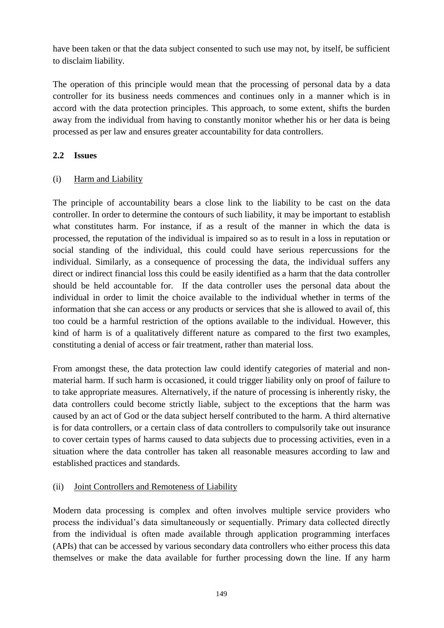have been taken or that the data subject consented to such use may not, by itself, be sufficient to disclaim liability.

The operation of this principle would mean that the processing of personal data by a data controller for its business needs commences and continues only in a manner which is in accord with the data protection principles. This approach, to some extent, shifts the burden away from the individual from having to constantly monitor whether his or her data is being processed as per law and ensures greater accountability for data controllers.

## **2.2 Issues**

## (i) Harm and Liability

The principle of accountability bears a close link to the liability to be cast on the data controller. In order to determine the contours of such liability, it may be important to establish what constitutes harm. For instance, if as a result of the manner in which the data is processed, the reputation of the individual is impaired so as to result in a loss in reputation or social standing of the individual, this could could have serious repercussions for the individual. Similarly, as a consequence of processing the data, the individual suffers any direct or indirect financial loss this could be easily identified as a harm that the data controller should be held accountable for. If the data controller uses the personal data about the individual in order to limit the choice available to the individual whether in terms of the information that she can access or any products or services that she is allowed to avail of, this too could be a harmful restriction of the options available to the individual. However, this kind of harm is of a qualitatively different nature as compared to the first two examples, constituting a denial of access or fair treatment, rather than material loss.

From amongst these, the data protection law could identify categories of material and nonmaterial harm. If such harm is occasioned, it could trigger liability only on proof of failure to to take appropriate measures. Alternatively, if the nature of processing is inherently risky, the data controllers could become strictly liable, subject to the exceptions that the harm was caused by an act of God or the data subject herself contributed to the harm. A third alternative is for data controllers, or a certain class of data controllers to compulsorily take out insurance to cover certain types of harms caused to data subjects due to processing activities, even in a situation where the data controller has taken all reasonable measures according to law and established practices and standards.

## (ii) Joint Controllers and Remoteness of Liability

Modern data processing is complex and often involves multiple service providers who process the individual's data simultaneously or sequentially. Primary data collected directly from the individual is often made available through application programming interfaces (APIs) that can be accessed by various secondary data controllers who either process this data themselves or make the data available for further processing down the line. If any harm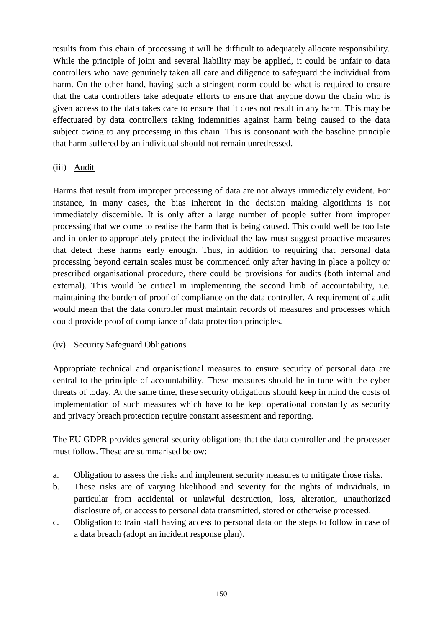results from this chain of processing it will be difficult to adequately allocate responsibility. While the principle of joint and several liability may be applied, it could be unfair to data controllers who have genuinely taken all care and diligence to safeguard the individual from harm. On the other hand, having such a stringent norm could be what is required to ensure that the data controllers take adequate efforts to ensure that anyone down the chain who is given access to the data takes care to ensure that it does not result in any harm. This may be effectuated by data controllers taking indemnities against harm being caused to the data subject owing to any processing in this chain. This is consonant with the baseline principle that harm suffered by an individual should not remain unredressed.

#### (iii) Audit

Harms that result from improper processing of data are not always immediately evident. For instance, in many cases, the bias inherent in the decision making algorithms is not immediately discernible. It is only after a large number of people suffer from improper processing that we come to realise the harm that is being caused. This could well be too late and in order to appropriately protect the individual the law must suggest proactive measures that detect these harms early enough. Thus, in addition to requiring that personal data processing beyond certain scales must be commenced only after having in place a policy or prescribed organisational procedure, there could be provisions for audits (both internal and external). This would be critical in implementing the second limb of accountability, i.e. maintaining the burden of proof of compliance on the data controller. A requirement of audit would mean that the data controller must maintain records of measures and processes which could provide proof of compliance of data protection principles.

#### (iv) Security Safeguard Obligations

Appropriate technical and organisational measures to ensure security of personal data are central to the principle of accountability. These measures should be in-tune with the cyber threats of today. At the same time, these security obligations should keep in mind the costs of implementation of such measures which have to be kept operational constantly as security and privacy breach protection require constant assessment and reporting.

The EU GDPR provides general security obligations that the data controller and the processer must follow. These are summarised below:

- a. Obligation to assess the risks and implement security measures to mitigate those risks.
- b. These risks are of varying likelihood and severity for the rights of individuals, in particular from accidental or unlawful destruction, loss, alteration, unauthorized disclosure of, or access to personal data transmitted, stored or otherwise processed.
- c. Obligation to train staff having access to personal data on the steps to follow in case of a data breach (adopt an incident response plan).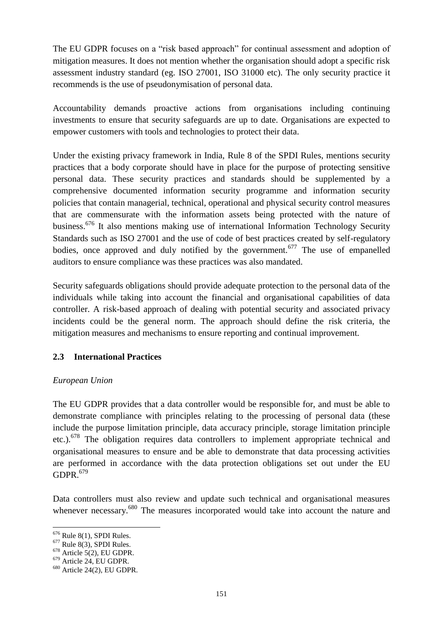The EU GDPR focuses on a "risk based approach" for continual assessment and adoption of mitigation measures. It does not mention whether the organisation should adopt a specific risk assessment industry standard (eg. ISO 27001, ISO 31000 etc). The only security practice it recommends is the use of pseudonymisation of personal data.

Accountability demands proactive actions from organisations including continuing investments to ensure that security safeguards are up to date. Organisations are expected to empower customers with tools and technologies to protect their data.

Under the existing privacy framework in India, Rule 8 of the SPDI Rules, mentions security practices that a body corporate should have in place for the purpose of protecting sensitive personal data. These security practices and standards should be supplemented by a comprehensive documented information security programme and information security policies that contain managerial, technical, operational and physical security control measures that are commensurate with the information assets being protected with the nature of business.<sup>676</sup> It also mentions making use of international Information Technology Security Standards such as ISO 27001 and the use of code of best practices created by self-regulatory bodies, once approved and duly notified by the government.<sup>677</sup> The use of empanelled auditors to ensure compliance was these practices was also mandated.

Security safeguards obligations should provide adequate protection to the personal data of the individuals while taking into account the financial and organisational capabilities of data controller. A risk-based approach of dealing with potential security and associated privacy incidents could be the general norm. The approach should define the risk criteria, the mitigation measures and mechanisms to ensure reporting and continual improvement.

### **2.3 International Practices**

### *European Union*

The EU GDPR provides that a data controller would be responsible for, and must be able to demonstrate compliance with principles relating to the processing of personal data (these include the purpose limitation principle, data accuracy principle, storage limitation principle etc.).<sup>678</sup> The obligation requires data controllers to implement appropriate technical and organisational measures to ensure and be able to demonstrate that data processing activities are performed in accordance with the data protection obligations set out under the EU  $GDPR.$   $679$ 

Data controllers must also review and update such technical and organisational measures whenever necessary.<sup>680</sup> The measures incorporated would take into account the nature and

 $\overline{\phantom{a}}$  $676$  Rule  $8(1)$ , SPDI Rules.

 $677$  Rule 8(3), SPDI Rules.

 $678$  Article 5(2), EU GDPR.

 $679$  Article 24, EU GDPR.

 $680$  Article 24(2), EU GDPR.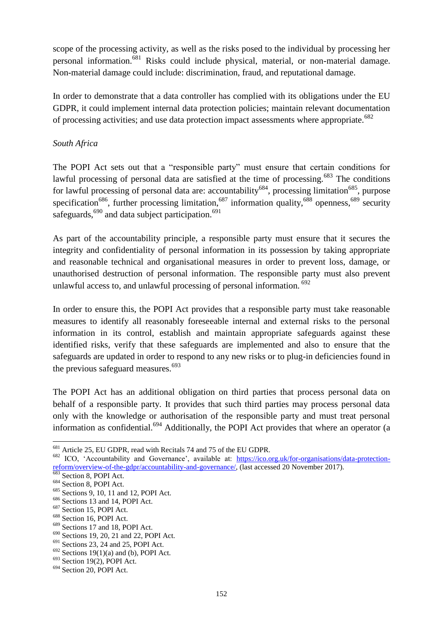scope of the processing activity, as well as the risks posed to the individual by processing her personal information.<sup>681</sup> Risks could include physical, material, or non-material damage. Non-material damage could include: discrimination, fraud, and reputational damage.

In order to demonstrate that a data controller has complied with its obligations under the EU GDPR, it could implement internal data protection policies; maintain relevant documentation of processing activities; and use data protection impact assessments where appropriate.<sup>682</sup>

### *South Africa*

The POPI Act sets out that a "responsible party" must ensure that certain conditions for lawful processing of personal data are satisfied at the time of processing.<sup>683</sup> The conditions for lawful processing of personal data are: accountability<sup>684</sup>, processing limitation<sup>685</sup>, purpose specification<sup>686</sup>, further processing limitation,<sup>687</sup> information quality,<sup>688</sup> openness,<sup>689</sup> security safeguards, $690$  and data subject participation. $691$ 

As part of the accountability principle, a responsible party must ensure that it secures the integrity and confidentiality of personal information in its possession by taking appropriate and reasonable technical and organisational measures in order to prevent loss, damage, or unauthorised destruction of personal information. The responsible party must also prevent unlawful access to, and unlawful processing of personal information.  $692$ 

In order to ensure this, the POPI Act provides that a responsible party must take reasonable measures to identify all reasonably foreseeable internal and external risks to the personal information in its control, establish and maintain appropriate safeguards against these identified risks, verify that these safeguards are implemented and also to ensure that the safeguards are updated in order to respond to any new risks or to plug-in deficiencies found in the previous safeguard measures.<sup>693</sup>

The POPI Act has an additional obligation on third parties that process personal data on behalf of a responsible party. It provides that such third parties may process personal data only with the knowledge or authorisation of the responsible party and must treat personal information as confidential.<sup>694</sup> Additionally, the POPI Act provides that where an operator (a

 $\overline{a}$ 681 Article 25, EU GDPR, read with Recitals 74 and 75 of the EU GDPR.

<sup>&</sup>lt;sup>682</sup> ICO, 'Accountability and Governance', available at: [https://ico.org.uk/for-organisations/data-protection](https://ico.org.uk/for-organisations/data-protection-reform/overview-of-the-gdpr/accountability-and-governance/)[reform/overview-of-the-gdpr/accountability-and-governance/,](https://ico.org.uk/for-organisations/data-protection-reform/overview-of-the-gdpr/accountability-and-governance/) (last accessed 20 November 2017).

<sup>683</sup> Section 8, POPI Act. <sup>684</sup> Section 8, POPI Act.

<sup>685</sup> Sections 9, 10, 11 and 12, POPI Act. <sup>686</sup> Sections 13 and 14, POPI Act.

<sup>687</sup> Section 15, POPI Act.

<sup>688</sup> Section 16, POPI Act.

<sup>689</sup> Sections 17 and 18, POPI Act.

<sup>690</sup> Sections 19, 20, 21 and 22, POPI Act.

 $691$  Sections 23, 24 and 25, POPI Act.

 $692$  Sections 19(1)(a) and (b), POPI Act.

 $693$  Section 19(2), POPI Act.

<sup>694</sup> Section 20, POPI Act.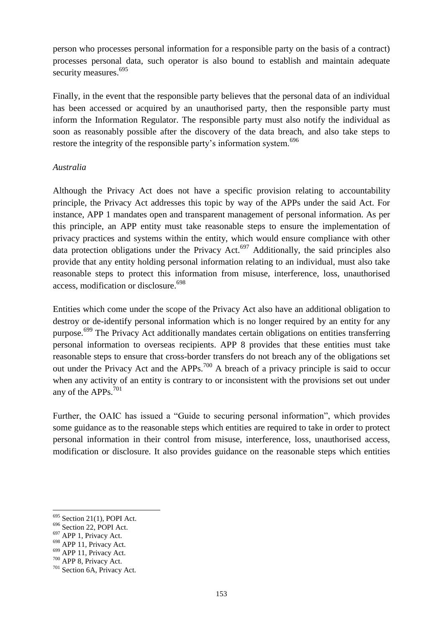person who processes personal information for a responsible party on the basis of a contract) processes personal data, such operator is also bound to establish and maintain adequate security measures.<sup>695</sup>

Finally, in the event that the responsible party believes that the personal data of an individual has been accessed or acquired by an unauthorised party, then the responsible party must inform the Information Regulator. The responsible party must also notify the individual as soon as reasonably possible after the discovery of the data breach, and also take steps to restore the integrity of the responsible party's information system.<sup>696</sup>

#### *Australia*

Although the Privacy Act does not have a specific provision relating to accountability principle, the Privacy Act addresses this topic by way of the APPs under the said Act. For instance, APP 1 mandates open and transparent management of personal information. As per this principle, an APP entity must take reasonable steps to ensure the implementation of privacy practices and systems within the entity, which would ensure compliance with other data protection obligations under the Privacy Act.<sup>697</sup> Additionally, the said principles also provide that any entity holding personal information relating to an individual, must also take reasonable steps to protect this information from misuse, interference, loss, unauthorised access, modification or disclosure.<sup>698</sup>

Entities which come under the scope of the Privacy Act also have an additional obligation to destroy or de-identify personal information which is no longer required by an entity for any purpose.<sup>699</sup> The Privacy Act additionally mandates certain obligations on entities transferring personal information to overseas recipients. APP 8 provides that these entities must take reasonable steps to ensure that cross-border transfers do not breach any of the obligations set out under the Privacy Act and the APPs.<sup>700</sup> A breach of a privacy principle is said to occur when any activity of an entity is contrary to or inconsistent with the provisions set out under any of the  $APPs.$ <sup>701</sup>

Further, the OAIC has issued a "Guide to securing personal information", which provides some guidance as to the reasonable steps which entities are required to take in order to protect personal information in their control from misuse, interference, loss, unauthorised access, modification or disclosure. It also provides guidance on the reasonable steps which entities

 $\overline{\phantom{a}}$ 

 $695$  Section 21(1), POPI Act.

<sup>696</sup> Section 22, POPI Act.

<sup>697</sup> APP 1, Privacy Act.

<sup>698</sup> APP 11, Privacy Act.

<sup>699</sup> APP 11, Privacy Act.

<sup>700</sup> APP 8, Privacy Act.

<sup>701</sup> Section 6A, Privacy Act.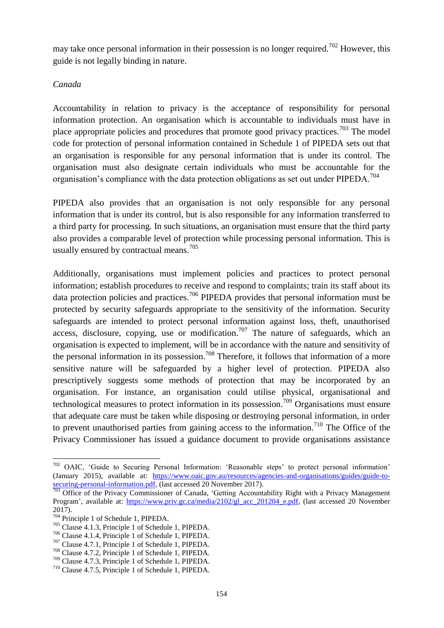may take once personal information in their possession is no longer required.<sup>702</sup> However, this guide is not legally binding in nature.

#### *Canada*

Accountability in relation to privacy is the acceptance of responsibility for personal information protection. An organisation which is accountable to individuals must have in place appropriate policies and procedures that promote good privacy practices.<sup>703</sup> The model code for protection of personal information contained in Schedule 1 of PIPEDA sets out that an organisation is responsible for any personal information that is under its control. The organisation must also designate certain individuals who must be accountable for the organisation's compliance with the data protection obligations as set out under PIPEDA.<sup>704</sup>

PIPEDA also provides that an organisation is not only responsible for any personal information that is under its control, but is also responsible for any information transferred to a third party for processing. In such situations, an organisation must ensure that the third party also provides a comparable level of protection while processing personal information. This is usually ensured by contractual means.<sup>705</sup>

Additionally, organisations must implement policies and practices to protect personal information; establish procedures to receive and respond to complaints; train its staff about its data protection policies and practices.<sup>706</sup> PIPEDA provides that personal information must be protected by security safeguards appropriate to the sensitivity of the information. Security safeguards are intended to protect personal information against loss, theft, unauthorised access, disclosure, copying, use or modification.<sup>707</sup> The nature of safeguards, which an organisation is expected to implement, will be in accordance with the nature and sensitivity of the personal information in its possession.<sup>708</sup> Therefore, it follows that information of a more sensitive nature will be safeguarded by a higher level of protection. PIPEDA also prescriptively suggests some methods of protection that may be incorporated by an organisation. For instance, an organisation could utilise physical, organisational and technological measures to protect information in its possession.<sup>709</sup> Organisations must ensure that adequate care must be taken while disposing or destroying personal information, in order to prevent unauthorised parties from gaining access to the information.<sup>710</sup> The Office of the Privacy Commissioner has issued a guidance document to provide organisations assistance

l

<sup>&</sup>lt;sup>702</sup> OAIC, 'Guide to Securing Personal Information: 'Reasonable steps' to protect personal information' (January 2015), available at: [https://www.oaic.gov.au/resources/agencies-and-organisations/guides/guide-to](https://www.oaic.gov.au/resources/agencies-and-organisations/guides/guide-to-securing-personal-information.pdf)[securing-personal-information.pdf,](https://www.oaic.gov.au/resources/agencies-and-organisations/guides/guide-to-securing-personal-information.pdf) (last accessed 20 November 2017).

 $703$  Office of the Privacy Commissioner of Canada, 'Getting Accountability Right with a Privacy Management Program', available at: [https://www.priv.gc.ca/media/2102/gl\\_acc\\_201204\\_e.pdf,](https://www.priv.gc.ca/media/2102/gl_acc_201204_e.pdf) (last accessed 20 November 2017).

<sup>704</sup> Principle 1 of Schedule 1, PIPEDA.

<sup>705</sup> Clause 4.1.3, Principle 1 of Schedule 1, PIPEDA.

<sup>706</sup> Clause 4.1.4, Principle 1 of Schedule 1, PIPEDA.

<sup>707</sup> Clause 4.7.1, Principle 1 of Schedule 1, PIPEDA.

<sup>708</sup> Clause 4.7.2, Principle 1 of Schedule 1, PIPEDA.

<sup>709</sup> Clause 4.7.3, Principle 1 of Schedule 1, PIPEDA.

<sup>710</sup> Clause 4.7.5, Principle 1 of Schedule 1, PIPEDA.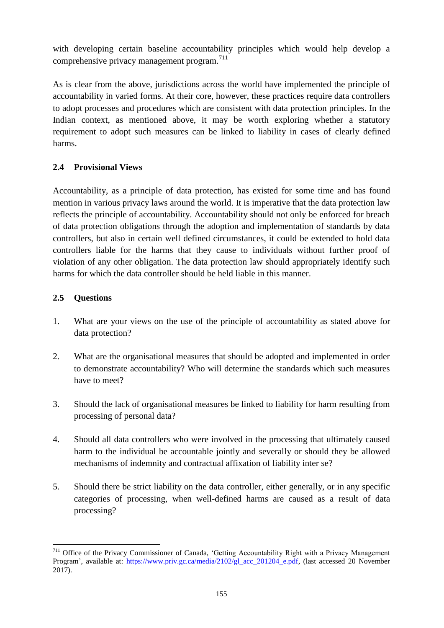with developing certain baseline accountability principles which would help develop a comprehensive privacy management program.<sup>711</sup>

As is clear from the above, jurisdictions across the world have implemented the principle of accountability in varied forms. At their core, however, these practices require data controllers to adopt processes and procedures which are consistent with data protection principles. In the Indian context, as mentioned above, it may be worth exploring whether a statutory requirement to adopt such measures can be linked to liability in cases of clearly defined harms.

## **2.4 Provisional Views**

Accountability, as a principle of data protection, has existed for some time and has found mention in various privacy laws around the world. It is imperative that the data protection law reflects the principle of accountability. Accountability should not only be enforced for breach of data protection obligations through the adoption and implementation of standards by data controllers, but also in certain well defined circumstances, it could be extended to hold data controllers liable for the harms that they cause to individuals without further proof of violation of any other obligation. The data protection law should appropriately identify such harms for which the data controller should be held liable in this manner.

## **2.5 Questions**

- 1. What are your views on the use of the principle of accountability as stated above for data protection?
- 2. What are the organisational measures that should be adopted and implemented in order to demonstrate accountability? Who will determine the standards which such measures have to meet?
- 3. Should the lack of organisational measures be linked to liability for harm resulting from processing of personal data?
- 4. Should all data controllers who were involved in the processing that ultimately caused harm to the individual be accountable jointly and severally or should they be allowed mechanisms of indemnity and contractual affixation of liability inter se?
- 5. Should there be strict liability on the data controller, either generally, or in any specific categories of processing, when well-defined harms are caused as a result of data processing?

 $\overline{a}$ <sup>711</sup> Office of the Privacy Commissioner of Canada, 'Getting Accountability Right with a Privacy Management Program', available at: [https://www.priv.gc.ca/media/2102/gl\\_acc\\_201204\\_e.pdf,](https://www.priv.gc.ca/media/2102/gl_acc_201204_e.pdf) (last accessed 20 November 2017).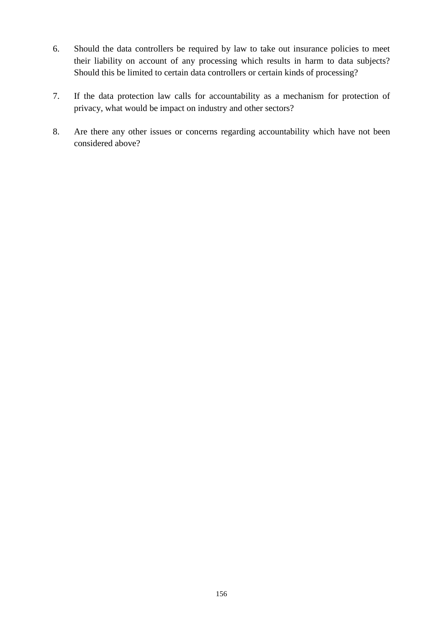- 6. Should the data controllers be required by law to take out insurance policies to meet their liability on account of any processing which results in harm to data subjects? Should this be limited to certain data controllers or certain kinds of processing?
- 7. If the data protection law calls for accountability as a mechanism for protection of privacy, what would be impact on industry and other sectors?
- 8. Are there any other issues or concerns regarding accountability which have not been considered above?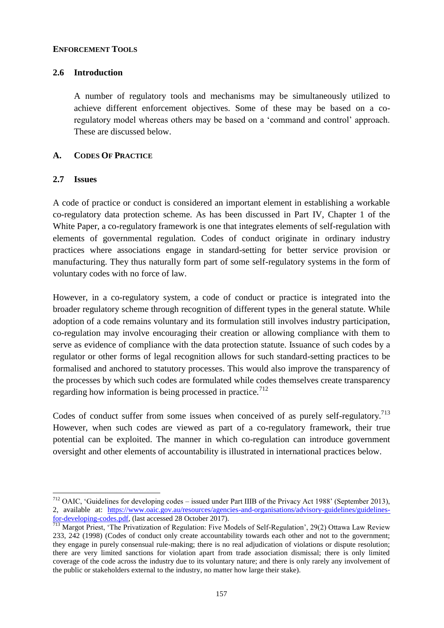#### **ENFORCEMENT TOOLS**

### **2.6 Introduction**

A number of regulatory tools and mechanisms may be simultaneously utilized to achieve different enforcement objectives. Some of these may be based on a coregulatory model whereas others may be based on a 'command and control' approach. These are discussed below.

### **A. CODES OF PRACTICE**

#### **2.7 Issues**

l

A code of practice or conduct is considered an important element in establishing a workable co-regulatory data protection scheme. As has been discussed in Part IV, Chapter 1 of the White Paper, a co-regulatory framework is one that integrates elements of self-regulation with elements of governmental regulation. Codes of conduct originate in ordinary industry practices where associations engage in standard-setting for better service provision or manufacturing. They thus naturally form part of some self-regulatory systems in the form of voluntary codes with no force of law.

However, in a co-regulatory system, a code of conduct or practice is integrated into the broader regulatory scheme through recognition of different types in the general statute. While adoption of a code remains voluntary and its formulation still involves industry participation, co-regulation may involve encouraging their creation or allowing compliance with them to serve as evidence of compliance with the data protection statute. Issuance of such codes by a regulator or other forms of legal recognition allows for such standard-setting practices to be formalised and anchored to statutory processes. This would also improve the transparency of the processes by which such codes are formulated while codes themselves create transparency regarding how information is being processed in practice.<sup>712</sup>

Codes of conduct suffer from some issues when conceived of as purely self-regulatory.<sup>713</sup> However, when such codes are viewed as part of a co-regulatory framework, their true potential can be exploited. The manner in which co-regulation can introduce government oversight and other elements of accountability is illustrated in international practices below.

 $712$  OAIC, 'Guidelines for developing codes – issued under Part IIIB of the Privacy Act 1988' (September 2013), 2, available at: [https://www.oaic.gov.au/resources/agencies-and-organisations/advisory-guidelines/guidelines](https://www.oaic.gov.au/resources/agencies-and-organisations/advisory-guidelines/guidelines-for-developing-codes.pdf)[for-developing-codes.pdf,](https://www.oaic.gov.au/resources/agencies-and-organisations/advisory-guidelines/guidelines-for-developing-codes.pdf) (last accessed 28 October 2017).

<sup>&</sup>lt;sup>713</sup> Margot Priest, 'The Privatization of Regulation: Five Models of Self-Regulation', 29(2) Ottawa Law Review 233, 242 (1998) (Codes of conduct only create accountability towards each other and not to the government; they engage in purely consensual rule-making; there is no real adjudication of violations or dispute resolution; there are very limited sanctions for violation apart from trade association dismissal; there is only limited coverage of the code across the industry due to its voluntary nature; and there is only rarely any involvement of the public or stakeholders external to the industry, no matter how large their stake).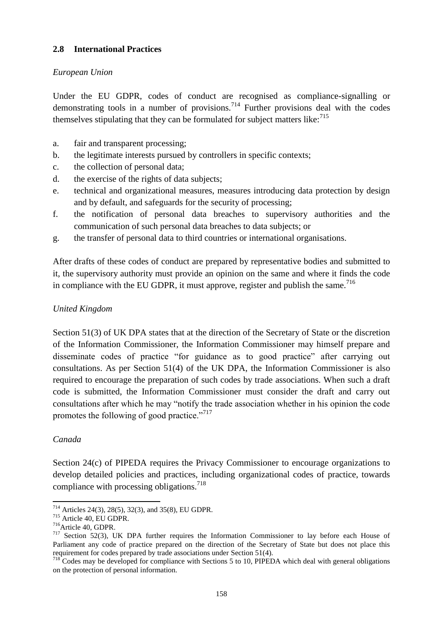### **2.8 International Practices**

### *European Union*

Under the EU GDPR, codes of conduct are recognised as compliance-signalling or demonstrating tools in a number of provisions.<sup>714</sup> Further provisions deal with the codes themselves stipulating that they can be formulated for subject matters like: $715$ 

- a. fair and transparent processing;
- b. the legitimate interests pursued by controllers in specific contexts;
- c. the collection of personal data;
- d. the exercise of the rights of data subjects;
- e. technical and organizational measures, measures introducing data protection by design and by default, and safeguards for the security of processing;
- f. the notification of personal data breaches to supervisory authorities and the communication of such personal data breaches to data subjects; or
- g. the transfer of personal data to third countries or international organisations.

After drafts of these codes of conduct are prepared by representative bodies and submitted to it, the supervisory authority must provide an opinion on the same and where it finds the code in compliance with the EU GDPR, it must approve, register and publish the same.<sup>716</sup>

## *United Kingdom*

Section 51(3) of UK DPA states that at the direction of the Secretary of State or the discretion of the Information Commissioner, the Information Commissioner may himself prepare and disseminate codes of practice "for guidance as to good practice" after carrying out consultations. As per Section 51(4) of the UK DPA, the Information Commissioner is also required to encourage the preparation of such codes by trade associations. When such a draft code is submitted, the Information Commissioner must consider the draft and carry out consultations after which he may "notify the trade association whether in his opinion the code promotes the following of good practice."<sup>717</sup>

### *Canada*

Section 24(c) of PIPEDA requires the Privacy Commissioner to encourage organizations to develop detailed policies and practices, including organizational codes of practice, towards compliance with processing obligations.<sup>718</sup>

 $\overline{\phantom{a}}$  $714$  Articles 24(3), 28(5), 32(3), and 35(8), EU GDPR.

<sup>715</sup> Article 40, EU GDPR.

<sup>716</sup>Article 40, GDPR.

<sup>717</sup> Section 52(3), UK DPA further requires the Information Commissioner to lay before each House of Parliament any code of practice prepared on the direction of the Secretary of State but does not place this requirement for codes prepared by trade associations under Section 51(4).

<sup>&</sup>lt;sup>718</sup> Codes may be developed for compliance with Sections 5 to 10, PIPEDA which deal with general obligations on the protection of personal information.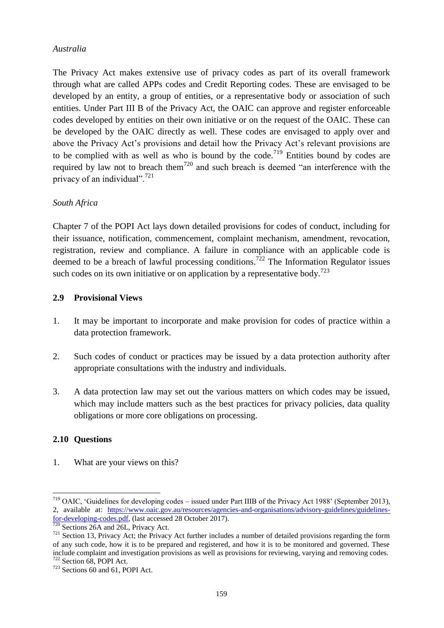#### *Australia*

The Privacy Act makes extensive use of privacy codes as part of its overall framework through what are called APPs codes and Credit Reporting codes. These are envisaged to be developed by an entity, a group of entities, or a representative body or association of such entities. Under Part III B of the Privacy Act, the OAIC can approve and register enforceable codes developed by entities on their own initiative or on the request of the OAIC. These can be developed by the OAIC directly as well. These codes are envisaged to apply over and above the Privacy Act's provisions and detail how the Privacy Act's relevant provisions are to be complied with as well as who is bound by the code.<sup>719</sup> Entities bound by codes are required by law not to breach them<sup>720</sup> and such breach is deemed "an interference with the privacy of an individual".<sup>721</sup>

### *South Africa*

Chapter 7 of the POPI Act lays down detailed provisions for codes of conduct, including for their issuance, notification, commencement, complaint mechanism, amendment, revocation, registration, review and compliance. A failure in compliance with an applicable code is deemed to be a breach of lawful processing conditions.<sup>722</sup> The Information Regulator issues such codes on its own initiative or on application by a representative body.<sup>723</sup>

#### **2.9 Provisional Views**

- 1. It may be important to incorporate and make provision for codes of practice within a data protection framework.
- 2. Such codes of conduct or practices may be issued by a data protection authority after appropriate consultations with the industry and individuals.
- 3. A data protection law may set out the various matters on which codes may be issued, which may include matters such as the best practices for privacy policies, data quality obligations or more core obligations on processing.

### **2.10 Questions**

l

1. What are your views on this?

<sup>719</sup> OAIC, ‗Guidelines for developing codes – issued under Part IIIB of the Privacy Act 1988' (September 2013), 2, available at: [https://www.oaic.gov.au/resources/agencies-and-organisations/advisory-guidelines/guidelines](https://www.oaic.gov.au/resources/agencies-and-organisations/advisory-guidelines/guidelines-for-developing-codes.pdf)[for-developing-codes.pdf,](https://www.oaic.gov.au/resources/agencies-and-organisations/advisory-guidelines/guidelines-for-developing-codes.pdf) (last accessed 28 October 2017).

<sup>720</sup> Sections 26A and 26L, Privacy Act.

<sup>&</sup>lt;sup>721</sup> Section 13, Privacy Act; the Privacy Act further includes a number of detailed provisions regarding the form of any such code, how it is to be prepared and registered, and how it is to be monitored and governed. These include complaint and investigation provisions as well as provisions for reviewing, varying and removing codes.  $722$  Section 68, POPI Act.

<sup>723</sup> Sections 60 and 61, POPI Act.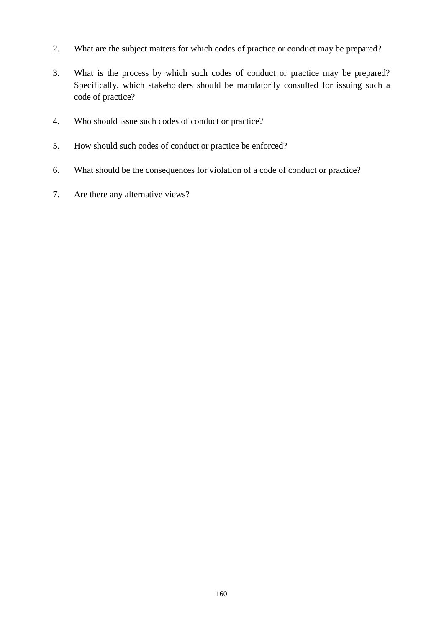- 2. What are the subject matters for which codes of practice or conduct may be prepared?
- 3. What is the process by which such codes of conduct or practice may be prepared? Specifically, which stakeholders should be mandatorily consulted for issuing such a code of practice?
- 4. Who should issue such codes of conduct or practice?
- 5. How should such codes of conduct or practice be enforced?
- 6. What should be the consequences for violation of a code of conduct or practice?
- 7. Are there any alternative views?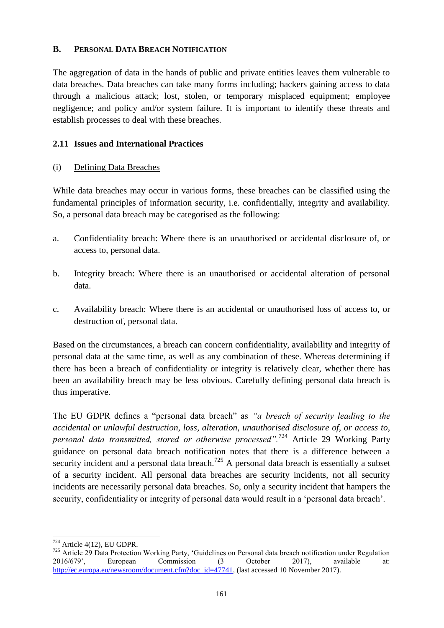### **B. PERSONAL DATA BREACH NOTIFICATION**

The aggregation of data in the hands of public and private entities leaves them vulnerable to data breaches. Data breaches can take many forms including; hackers gaining access to data through a malicious attack; lost, stolen, or temporary misplaced equipment; employee negligence; and policy and/or system failure. It is important to identify these threats and establish processes to deal with these breaches.

### **2.11 Issues and International Practices**

#### (i) Defining Data Breaches

While data breaches may occur in various forms, these breaches can be classified using the fundamental principles of information security, i.e. confidentially, integrity and availability. So, a personal data breach may be categorised as the following:

- a. Confidentiality breach: Where there is an unauthorised or accidental disclosure of, or access to, personal data.
- b. Integrity breach: Where there is an unauthorised or accidental alteration of personal data.
- c. Availability breach: Where there is an accidental or unauthorised loss of access to, or destruction of, personal data.

Based on the circumstances, a breach can concern confidentiality, availability and integrity of personal data at the same time, as well as any combination of these. Whereas determining if there has been a breach of confidentiality or integrity is relatively clear, whether there has been an availability breach may be less obvious. Carefully defining personal data breach is thus imperative.

The EU GDPR defines a "personal data breach" as *"a breach of security leading to the accidental or unlawful destruction, loss, alteration, unauthorised disclosure of, or access to, personal data transmitted, stored or otherwise processed".*<sup>724</sup> Article 29 Working Party guidance on personal data breach notification notes that there is a difference between a security incident and a personal data breach.<sup>725</sup> A personal data breach is essentially a subset of a security incident. All personal data breaches are security incidents, not all security incidents are necessarily personal data breaches. So, only a security incident that hampers the security, confidentiality or integrity of personal data would result in a 'personal data breach'.

 $\overline{\phantom{a}}$  $724$  Article 4(12), EU GDPR.

<sup>725</sup> Article 29 Data Protection Working Party, ‗Guidelines on Personal data breach notification under Regulation 2016/679', European Commission (3 October 2017), available at: [http://ec.europa.eu/newsroom/document.cfm?doc\\_id=47741,](http://ec.europa.eu/newsroom/document.cfm?doc_id=47741) (last accessed 10 November 2017).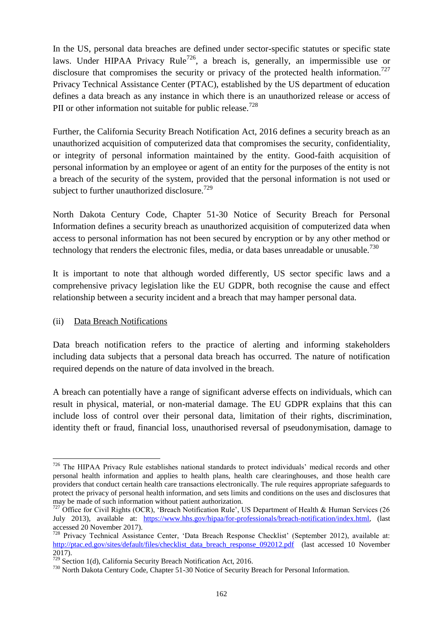In the US, personal data breaches are defined under sector-specific statutes or specific state laws. Under HIPAA Privacy Rule<sup>726</sup>, a breach is, generally, an impermissible use or disclosure that compromises the security or privacy of the protected health information.<sup>727</sup> Privacy Technical Assistance Center (PTAC), established by the US department of education defines a data breach as any instance in which there is an unauthorized release or access of PII or other information not suitable for public release.<sup>728</sup>

Further, the California Security Breach Notification Act, 2016 defines a security breach as an unauthorized acquisition of computerized data that compromises the security, confidentiality, or integrity of personal information maintained by the entity. Good-faith acquisition of personal information by an employee or agent of an entity for the purposes of the entity is not a breach of the security of the system, provided that the personal information is not used or subject to further unauthorized disclosure.<sup>729</sup>

North Dakota Century Code, Chapter 51-30 Notice of Security Breach for Personal Information defines a security breach as unauthorized acquisition of computerized data when access to personal information has not been secured by encryption or by any other method or technology that renders the electronic files, media, or data bases unreadable or unusable.<sup>730</sup>

It is important to note that although worded differently, US sector specific laws and a comprehensive privacy legislation like the EU GDPR, both recognise the cause and effect relationship between a security incident and a breach that may hamper personal data.

### (ii) Data Breach Notifications

l

Data breach notification refers to the practice of alerting and informing stakeholders including data subjects that a personal data breach has occurred. The nature of notification required depends on the nature of data involved in the breach.

A breach can potentially have a range of significant adverse effects on individuals, which can result in physical, material, or non-material damage. The EU GDPR explains that this can include loss of control over their personal data, limitation of their rights, discrimination, identity theft or fraud, financial loss, unauthorised reversal of pseudonymisation, damage to

<sup>&</sup>lt;sup>726</sup> The HIPAA Privacy Rule establishes national standards to protect individuals' medical records and other personal health information and applies to health plans, health care clearinghouses, and those health care providers that conduct certain health care transactions electronically. The rule requires appropriate safeguards to protect the privacy of personal health information, and sets limits and conditions on the uses and disclosures that may be made of such information without patient authorization.

<sup>&</sup>lt;sup>727</sup> Office for Civil Rights (OCR), 'Breach Notification Rule', US Department of Health & Human Services (26 July 2013), available at: [https://www.hhs.gov/hipaa/for-professionals/breach-notification/index.html,](https://www.hhs.gov/hipaa/for-professionals/breach-notification/index.html) (last accessed 20 November 2017).

<sup>728</sup> Privacy Technical Assistance Center, 'Data Breach Response Checklist' (September 2012), available at: [http://ptac.ed.gov/sites/default/files/checklist\\_data\\_breach\\_response\\_092012.pdf](http://ptac.ed.gov/sites/default/files/checklist_data_breach_response_092012.pdf) (last accessed 10 November 2017).

<sup>729</sup> Section 1(d), California Security Breach Notification Act, 2016.

<sup>730</sup> North Dakota Century Code, Chapter 51-30 Notice of Security Breach for Personal Information.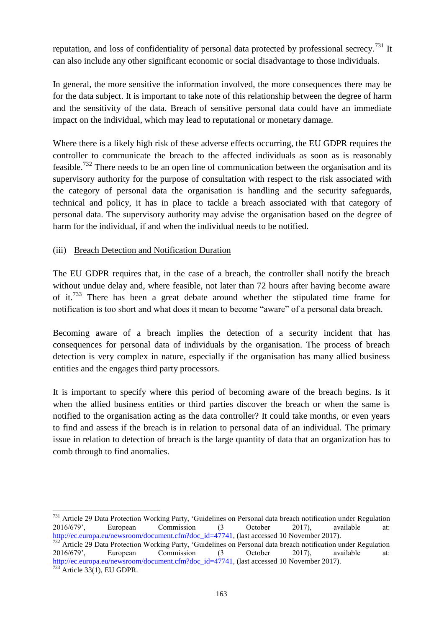reputation, and loss of confidentiality of personal data protected by professional secrecy.<sup>731</sup> It can also include any other significant economic or social disadvantage to those individuals.

In general, the more sensitive the information involved, the more consequences there may be for the data subject. It is important to take note of this relationship between the degree of harm and the sensitivity of the data. Breach of sensitive personal data could have an immediate impact on the individual, which may lead to reputational or monetary damage.

Where there is a likely high risk of these adverse effects occurring, the EU GDPR requires the controller to communicate the breach to the affected individuals as soon as is reasonably feasible.<sup>732</sup> There needs to be an open line of communication between the organisation and its supervisory authority for the purpose of consultation with respect to the risk associated with the category of personal data the organisation is handling and the security safeguards, technical and policy, it has in place to tackle a breach associated with that category of personal data. The supervisory authority may advise the organisation based on the degree of harm for the individual, if and when the individual needs to be notified.

## (iii) Breach Detection and Notification Duration

The EU GDPR requires that, in the case of a breach, the controller shall notify the breach without undue delay and, where feasible, not later than 72 hours after having become aware of it.<sup>733</sup> There has been a great debate around whether the stipulated time frame for notification is too short and what does it mean to become "aware" of a personal data breach.

Becoming aware of a breach implies the detection of a security incident that has consequences for personal data of individuals by the organisation. The process of breach detection is very complex in nature, especially if the organisation has many allied business entities and the engages third party processors.

It is important to specify where this period of becoming aware of the breach begins. Is it when the allied business entities or third parties discover the breach or when the same is notified to the organisation acting as the data controller? It could take months, or even years to find and assess if the breach is in relation to personal data of an individual. The primary issue in relation to detection of breach is the large quantity of data that an organization has to comb through to find anomalies.

 $\overline{\phantom{a}}$ <sup>731</sup> Article 29 Data Protection Working Party, 'Guidelines on Personal data breach notification under Regulation 2016/679', European Commission (3 October 2017), available at: [http://ec.europa.eu/newsroom/document.cfm?doc\\_id=47741,](http://ec.europa.eu/newsroom/document.cfm?doc_id=47741) (last accessed 10 November 2017).

<sup>732</sup> Article 29 Data Protection Working Party, ‗Guidelines on Personal data breach notification under Regulation 2016/679', European Commission (3 October 2017), available at: [http://ec.europa.eu/newsroom/document.cfm?doc\\_id=47741,](http://ec.europa.eu/newsroom/document.cfm?doc_id=47741) (last accessed 10 November 2017).

 $733$ <sup>T33</sup> Article 33(1), EU GDPR.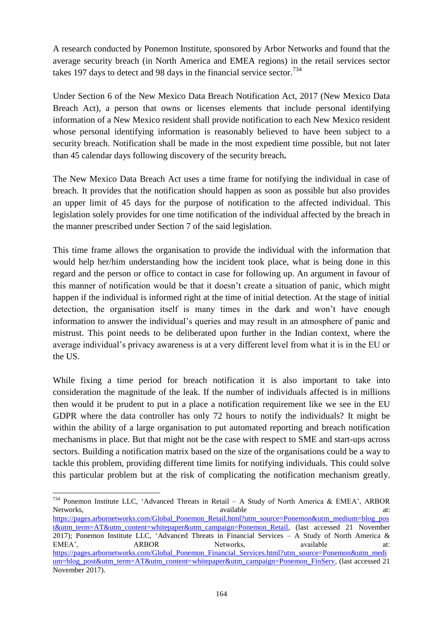A research conducted by Ponemon Institute, sponsored by Arbor Networks and found that the average security breach (in North America and EMEA regions) in the retail services sector takes 197 days to detect and 98 days in the financial service sector.<sup>734</sup>

Under Section 6 of the New Mexico Data Breach Notification Act, 2017 (New Mexico Data Breach Act), a person that owns or licenses elements that include personal identifying information of a New Mexico resident shall provide notification to each New Mexico resident whose personal identifying information is reasonably believed to have been subject to a security breach. Notification shall be made in the most expedient time possible, but not later than 45 calendar days following discovery of the security breach**.** 

The New Mexico Data Breach Act uses a time frame for notifying the individual in case of breach. It provides that the notification should happen as soon as possible but also provides an upper limit of 45 days for the purpose of notification to the affected individual. This legislation solely provides for one time notification of the individual affected by the breach in the manner prescribed under Section 7 of the said legislation.

This time frame allows the organisation to provide the individual with the information that would help her/him understanding how the incident took place, what is being done in this regard and the person or office to contact in case for following up. An argument in favour of this manner of notification would be that it doesn't create a situation of panic, which might happen if the individual is informed right at the time of initial detection. At the stage of initial detection, the organisation itself is many times in the dark and won't have enough information to answer the individual's queries and may result in an atmosphere of panic and mistrust. This point needs to be deliberated upon further in the Indian context, where the average individual's privacy awareness is at a very different level from what it is in the EU or the US.

While fixing a time period for breach notification it is also important to take into consideration the magnitude of the leak. If the number of individuals affected is in millions then would it be prudent to put in a place a notification requirement like we see in the EU GDPR where the data controller has only 72 hours to notify the individuals? It might be within the ability of a large organisation to put automated reporting and breach notification mechanisms in place. But that might not be the case with respect to SME and start-ups across sectors. Building a notification matrix based on the size of the organisations could be a way to tackle this problem, providing different time limits for notifying individuals. This could solve this particular problem but at the risk of complicating the notification mechanism greatly.

l

<sup>&</sup>lt;sup>734</sup> Ponemon Institute LLC, 'Advanced Threats in Retail – A Study of North America & EMEA', ARBOR Networks, available at: [https://pages.arbornetworks.com/Global\\_Ponemon\\_Retail.html?utm\\_source=Ponemon&utm\\_medium=blog\\_pos](https://pages.arbornetworks.com/Global_Ponemon_Retail.html?utm_source=Ponemon&utm_medium=blog_post&utm_term=AT&utm_content=whitepaper&utm_campaign=Ponemon_Retail) [t&utm\\_term=AT&utm\\_content=whitepaper&utm\\_campaign=Ponemon\\_Retail,](https://pages.arbornetworks.com/Global_Ponemon_Retail.html?utm_source=Ponemon&utm_medium=blog_post&utm_term=AT&utm_content=whitepaper&utm_campaign=Ponemon_Retail) (last accessed 21 November  $\overline{2017}$ : Ponemon Institute LLC, 'Advanced Threats in Financial Services – A Study of North America & EMEA', ARBOR Networks, available at: [https://pages.arbornetworks.com/Global\\_Ponemon\\_Financial\\_Services.html?utm\\_source=Ponemon&utm\\_medi](https://pages.arbornetworks.com/Global_Ponemon_Financial_Services.html?utm_source=Ponemon&utm_medium=blog_post&utm_term=AT&utm_content=whitepaper&utm_campaign=Ponemon_FinServ) [um=blog\\_post&utm\\_term=AT&utm\\_content=whitepaper&utm\\_campaign=Ponemon\\_FinServ,](https://pages.arbornetworks.com/Global_Ponemon_Financial_Services.html?utm_source=Ponemon&utm_medium=blog_post&utm_term=AT&utm_content=whitepaper&utm_campaign=Ponemon_FinServ) (last accessed 21 November 2017).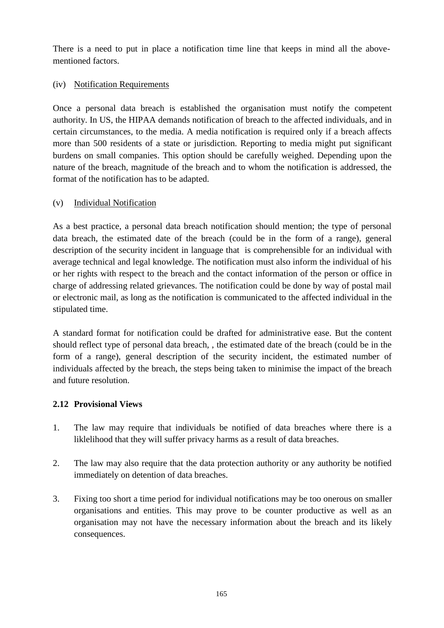There is a need to put in place a notification time line that keeps in mind all the abovementioned factors.

## (iv) Notification Requirements

Once a personal data breach is established the organisation must notify the competent authority. In US, the HIPAA demands notification of breach to the affected individuals, and in certain circumstances, to the media. A media notification is required only if a breach affects more than 500 residents of a state or jurisdiction. Reporting to media might put significant burdens on small companies. This option should be carefully weighed. Depending upon the nature of the breach, magnitude of the breach and to whom the notification is addressed, the format of the notification has to be adapted.

## (v) Individual Notification

As a best practice, a personal data breach notification should mention; the type of personal data breach, the estimated date of the breach (could be in the form of a range), general description of the security incident in language that is comprehensible for an individual with average technical and legal knowledge. The notification must also inform the individual of his or her rights with respect to the breach and the contact information of the person or office in charge of addressing related grievances. The notification could be done by way of postal mail or electronic mail, as long as the notification is communicated to the affected individual in the stipulated time.

A standard format for notification could be drafted for administrative ease. But the content should reflect type of personal data breach, , the estimated date of the breach (could be in the form of a range), general description of the security incident, the estimated number of individuals affected by the breach, the steps being taken to minimise the impact of the breach and future resolution.

## **2.12 Provisional Views**

- 1. The law may require that individuals be notified of data breaches where there is a liklelihood that they will suffer privacy harms as a result of data breaches.
- 2. The law may also require that the data protection authority or any authority be notified immediately on detention of data breaches.
- 3. Fixing too short a time period for individual notifications may be too onerous on smaller organisations and entities. This may prove to be counter productive as well as an organisation may not have the necessary information about the breach and its likely consequences.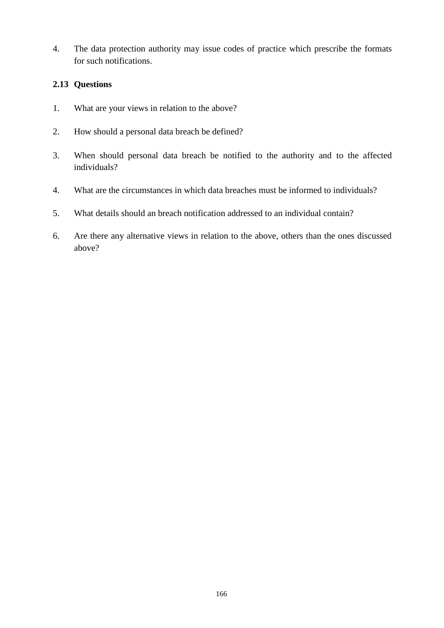4. The data protection authority may issue codes of practice which prescribe the formats for such notifications.

### **2.13 Questions**

- 1. What are your views in relation to the above?
- 2. How should a personal data breach be defined?
- 3. When should personal data breach be notified to the authority and to the affected individuals?
- 4. What are the circumstances in which data breaches must be informed to individuals?
- 5. What details should an breach notification addressed to an individual contain?
- 6. Are there any alternative views in relation to the above, others than the ones discussed above?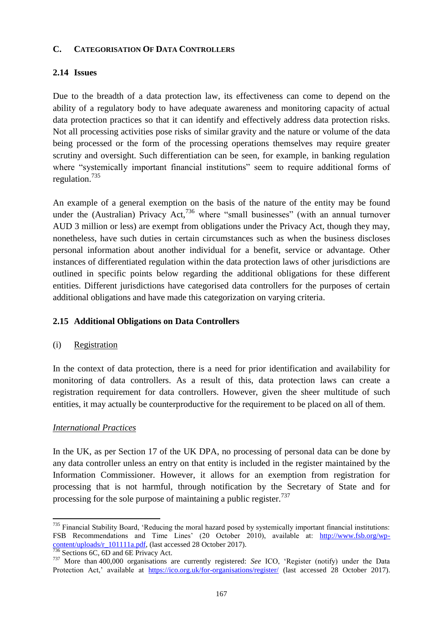#### **C. CATEGORISATION OF DATA CONTROLLERS**

### **2.14 Issues**

Due to the breadth of a data protection law, its effectiveness can come to depend on the ability of a regulatory body to have adequate awareness and monitoring capacity of actual data protection practices so that it can identify and effectively address data protection risks. Not all processing activities pose risks of similar gravity and the nature or volume of the data being processed or the form of the processing operations themselves may require greater scrutiny and oversight. Such differentiation can be seen, for example, in banking regulation where "systemically important financial institutions" seem to require additional forms of regulation.<sup>735</sup>

An example of a general exemption on the basis of the nature of the entity may be found under the (Australian) Privacy Act,<sup>736</sup> where "small businesses" (with an annual turnover AUD 3 million or less) are exempt from obligations under the Privacy Act, though they may, nonetheless, have such duties in certain circumstances such as when the business discloses personal information about another individual for a benefit, service or advantage. Other instances of differentiated regulation within the data protection laws of other jurisdictions are outlined in specific points below regarding the additional obligations for these different entities. Different jurisdictions have categorised data controllers for the purposes of certain additional obligations and have made this categorization on varying criteria.

### **2.15 Additional Obligations on Data Controllers**

#### (i) Registration

In the context of data protection, there is a need for prior identification and availability for monitoring of data controllers. As a result of this, data protection laws can create a registration requirement for data controllers. However, given the sheer multitude of such entities, it may actually be counterproductive for the requirement to be placed on all of them.

### *International Practices*

 $\overline{a}$ 

In the UK, as per Section 17 of the UK DPA, no processing of personal data can be done by any data controller unless an entry on that entity is included in the register maintained by the Information Commissioner. However, it allows for an exemption from registration for processing that is not harmful, through notification by the Secretary of State and for processing for the sole purpose of maintaining a public register.<sup>737</sup>

<sup>&</sup>lt;sup>735</sup> Financial Stability Board, 'Reducing the moral hazard posed by systemically important financial institutions: FSB Recommendations and Time Lines' (20 October 2010), available at: [http://www.fsb.org/wp](http://www.fsb.org/wp-content/uploads/r_101111a.pdf)[content/uploads/r\\_101111a.pdf,](http://www.fsb.org/wp-content/uploads/r_101111a.pdf) (last accessed 28 October 2017).

Sections  $6C$ ,  $6D$  and  $6E$  Privacy Act.

<sup>737</sup> More than 400,000 organisations are currently registered: *See* ICO, ‗Register (notify) under the Data Protection Act,' available at <https://ico.org.uk/for-organisations/register/> (last accessed 28 October 2017).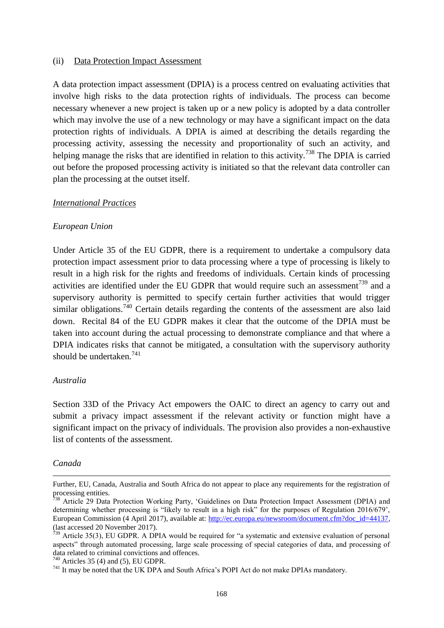#### (ii) Data Protection Impact Assessment

A data protection impact assessment (DPIA) is a process centred on evaluating activities that involve high risks to the data protection rights of individuals. The process can become necessary whenever a new project is taken up or a new policy is adopted by a data controller which may involve the use of a new technology or may have a significant impact on the data protection rights of individuals. A DPIA is aimed at describing the details regarding the processing activity, assessing the necessity and proportionality of such an activity, and helping manage the risks that are identified in relation to this activity.<sup>738</sup> The DPIA is carried out before the proposed processing activity is initiated so that the relevant data controller can plan the processing at the outset itself.

#### *International Practices*

#### *European Union*

Under Article 35 of the EU GDPR, there is a requirement to undertake a compulsory data protection impact assessment prior to data processing where a type of processing is likely to result in a high risk for the rights and freedoms of individuals. Certain kinds of processing activities are identified under the EU GDPR that would require such an assessment<sup>739</sup> and a supervisory authority is permitted to specify certain further activities that would trigger similar obligations.<sup>740</sup> Certain details regarding the contents of the assessment are also laid down. Recital 84 of the EU GDPR makes it clear that the outcome of the DPIA must be taken into account during the actual processing to demonstrate compliance and that where a DPIA indicates risks that cannot be mitigated, a consultation with the supervisory authority should be undertaken. $741$ 

#### *Australia*

Section 33D of the Privacy Act empowers the OAIC to direct an agency to carry out and submit a privacy impact assessment if the relevant activity or function might have a significant impact on the privacy of individuals. The provision also provides a non-exhaustive list of contents of the assessment.

#### *Canada*

 $\overline{\phantom{a}}$ 

Further, EU, Canada, Australia and South Africa do not appear to place any requirements for the registration of processing entities.

<sup>738</sup> Article 29 Data Protection Working Party, 'Guidelines on Data Protection Impact Assessment (DPIA) and determining whether processing is "likely to result in a high risk" for the purposes of Regulation  $2016/679$ ", European Commission (4 April 2017), available at: [http://ec.europa.eu/newsroom/document.cfm?doc\\_id=44137,](http://ec.europa.eu/newsroom/document.cfm?doc_id=44137) (last accessed 20 November 2017).

 $\frac{739}{139}$  Article 35(3), EU GDPR. A DPIA would be required for "a systematic and extensive evaluation of personal aspects" through automated processing, large scale processing of special categories of data, and processing of data related to criminal convictions and offences.

 $740$  Articles 35 (4) and (5), EU GDPR.

<sup>&</sup>lt;sup>741</sup> It may be noted that the UK DPA and South Africa's POPI Act do not make DPIAs mandatory.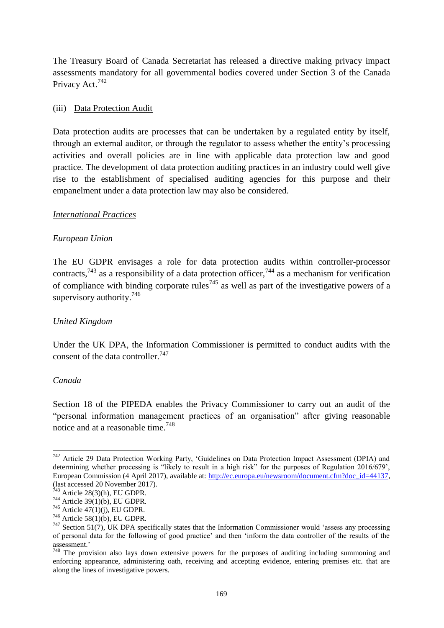The Treasury Board of Canada Secretariat has released a directive making privacy impact assessments mandatory for all governmental bodies covered under Section 3 of the Canada Privacy Act.<sup>742</sup>

#### (iii) Data Protection Audit

Data protection audits are processes that can be undertaken by a regulated entity by itself, through an external auditor, or through the regulator to assess whether the entity's processing activities and overall policies are in line with applicable data protection law and good practice. The development of data protection auditing practices in an industry could well give rise to the establishment of specialised auditing agencies for this purpose and their empanelment under a data protection law may also be considered.

#### *International Practices*

#### *European Union*

The EU GDPR envisages a role for data protection audits within controller-processor contracts,<sup>743</sup> as a responsibility of a data protection officer,<sup>744</sup> as a mechanism for verification of compliance with binding corporate rules<sup>745</sup> as well as part of the investigative powers of a supervisory authority.<sup>746</sup>

#### *United Kingdom*

Under the UK DPA, the Information Commissioner is permitted to conduct audits with the consent of the data controller.<sup>747</sup>

#### *Canada*

Section 18 of the PIPEDA enables the Privacy Commissioner to carry out an audit of the "personal information management practices of an organisation" after giving reasonable notice and at a reasonable time.<sup>748</sup>

 $\overline{\phantom{a}}$  $742$  Article 29 Data Protection Working Party, 'Guidelines on Data Protection Impact Assessment (DPIA) and determining whether processing is "likely to result in a high risk" for the purposes of Regulation 2016/679', European Commission (4 April 2017), available at: [http://ec.europa.eu/newsroom/document.cfm?doc\\_id=44137,](http://ec.europa.eu/newsroom/document.cfm?doc_id=44137) (last accessed 20 November 2017).

 $743$  Article 28(3)(h), EU GDPR.

 $744$  Article 39(1)(b), EU GDPR.

 $745$  Article  $47(1)(j)$ , EU GDPR.

 $746$  Article 58(1)(b), EU GDPR.

 $747$  Section 51(7), UK DPA specifically states that the Information Commissioner would 'assess any processing of personal data for the following of good practice' and then ‗inform the data controller of the results of the assessment.'

<sup>&</sup>lt;sup>748</sup> The provision also lays down extensive powers for the purposes of auditing including summoning and enforcing appearance, administering oath, receiving and accepting evidence, entering premises etc. that are along the lines of investigative powers.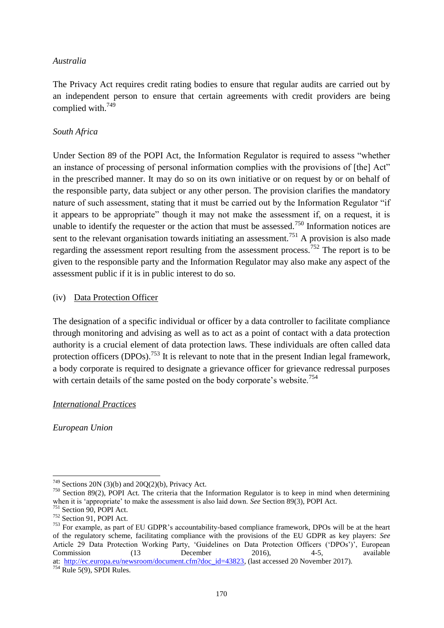#### *Australia*

The Privacy Act requires credit rating bodies to ensure that regular audits are carried out by an independent person to ensure that certain agreements with credit providers are being complied with.<sup>749</sup>

#### *South Africa*

Under Section 89 of the POPI Act, the Information Regulator is required to assess "whether an instance of processing of personal information complies with the provisions of [the] Act" in the prescribed manner. It may do so on its own initiative or on request by or on behalf of the responsible party, data subject or any other person. The provision clarifies the mandatory nature of such assessment, stating that it must be carried out by the Information Regulator "if it appears to be appropriate" though it may not make the assessment if, on a request, it is unable to identify the requester or the action that must be assessed.<sup>750</sup> Information notices are sent to the relevant organisation towards initiating an assessment.<sup>751</sup> A provision is also made regarding the assessment report resulting from the assessment process.<sup>752</sup> The report is to be given to the responsible party and the Information Regulator may also make any aspect of the assessment public if it is in public interest to do so.

#### (iv) Data Protection Officer

The designation of a specific individual or officer by a data controller to facilitate compliance through monitoring and advising as well as to act as a point of contact with a data protection authority is a crucial element of data protection laws. These individuals are often called data protection officers (DPOs).<sup>753</sup> It is relevant to note that in the present Indian legal framework, a body corporate is required to designate a grievance officer for grievance redressal purposes with certain details of the same posted on the body corporate's website.<sup>754</sup>

#### *International Practices*

*European Union*

 $\overline{\phantom{a}}$  $749$  Sections 20N (3)(b) and 20Q(2)(b), Privacy Act.

 $750$  Section 89(2), POPI Act. The criteria that the Information Regulator is to keep in mind when determining when it is 'appropriate' to make the assessment is also laid down. *See* Section 89(3), POPI Act.

<sup>751</sup> Section 90, POPI Act.

<sup>752</sup> Section 91, POPI Act.

<sup>&</sup>lt;sup>753</sup> For example, as part of EU GDPR's accountability-based compliance framework, DPOs will be at the heart of the regulatory scheme, facilitating compliance with the provisions of the EU GDPR as key players: *See* Article 29 Data Protection Working Party, 'Guidelines on Data Protection Officers ('DPOs')', European Commission (13 December 2016), 4-5, available at: [http://ec.europa.eu/newsroom/document.cfm?doc\\_id=43823,](http://ec.europa.eu/newsroom/document.cfm?doc_id=43823) (last accessed 20 November 2017).  $754$  Rule 5(9), SPDI Rules.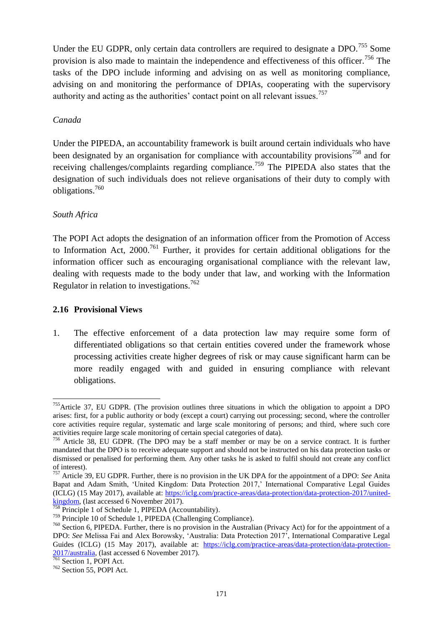Under the EU GDPR, only certain data controllers are required to designate a DPO.<sup>755</sup> Some provision is also made to maintain the independence and effectiveness of this officer.<sup>756</sup> The tasks of the DPO include informing and advising on as well as monitoring compliance, advising on and monitoring the performance of DPIAs, cooperating with the supervisory authority and acting as the authorities' contact point on all relevant issues.<sup>757</sup>

### *Canada*

Under the PIPEDA, an accountability framework is built around certain individuals who have been designated by an organisation for compliance with accountability provisions<sup>758</sup> and for receiving challenges/complaints regarding compliance.<sup>759</sup> The PIPEDA also states that the designation of such individuals does not relieve organisations of their duty to comply with obligations.<sup>760</sup>

### *South Africa*

The POPI Act adopts the designation of an information officer from the Promotion of Access to Information Act, 2000.<sup>761</sup> Further, it provides for certain additional obligations for the information officer such as encouraging organisational compliance with the relevant law, dealing with requests made to the body under that law, and working with the Information Regulator in relation to investigations.<sup>762</sup>

### **2.16 Provisional Views**

1. The effective enforcement of a data protection law may require some form of differentiated obligations so that certain entities covered under the framework whose processing activities create higher degrees of risk or may cause significant harm can be more readily engaged with and guided in ensuring compliance with relevant obligations.

 $\overline{\phantom{a}}$ <sup>755</sup>Article 37, EU GDPR. (The provision outlines three situations in which the obligation to appoint a DPO arises: first, for a public authority or body (except a court) carrying out processing; second, where the controller core activities require regular, systematic and large scale monitoring of persons; and third, where such core activities require large scale monitoring of certain special categories of data).

<sup>756</sup> Article 38, EU GDPR. (The DPO may be a staff member or may be on a service contract. It is further mandated that the DPO is to receive adequate support and should not be instructed on his data protection tasks or dismissed or penalised for performing them. Any other tasks he is asked to fulfil should not create any conflict of interest).

<sup>757</sup> Article 39, EU GDPR. Further, there is no provision in the UK DPA for the appointment of a DPO: *See* Anita Bapat and Adam Smith, ‗United Kingdom: Data Protection 2017,' International Comparative Legal Guides (ICLG) (15 May 2017), available at: [https://iclg.com/practice-areas/data-protection/data-protection-2017/united](https://iclg.com/practice-areas/data-protection/data-protection-2017/united-kingdom)[kingdom,](https://iclg.com/practice-areas/data-protection/data-protection-2017/united-kingdom) (last accessed 6 November 2017).

<sup>&</sup>lt;sup>758</sup> Principle 1 of Schedule 1, PIPEDA (Accountability).

<sup>759</sup> Principle 10 of Schedule 1, PIPEDA (Challenging Compliance).

<sup>760</sup> Section 6, PIPEDA. Further, there is no provision in the Australian (Privacy Act) for for the appointment of a DPO: See Melissa Fai and Alex Borowsky, 'Australia: Data Protection 2017', International Comparative Legal Guides (ICLG) (15 May 2017), available at: [https://iclg.com/practice-areas/data-protection/data-protection-](https://iclg.com/practice-areas/data-protection/data-protection-2017/australia)[2017/australia,](https://iclg.com/practice-areas/data-protection/data-protection-2017/australia) (last accessed 6 November 2017).

<sup>&</sup>lt;sup>761</sup> Section 1, POPI Act.

<sup>762</sup> Section 55, POPI Act.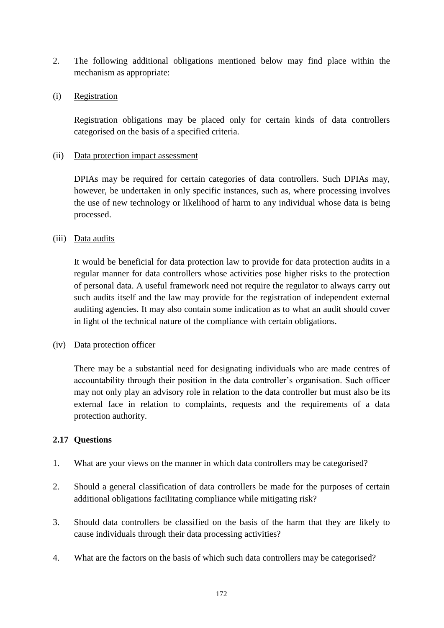- 2. The following additional obligations mentioned below may find place within the mechanism as appropriate:
- (i) Registration

Registration obligations may be placed only for certain kinds of data controllers categorised on the basis of a specified criteria.

#### (ii) Data protection impact assessment

DPIAs may be required for certain categories of data controllers. Such DPIAs may, however, be undertaken in only specific instances, such as, where processing involves the use of new technology or likelihood of harm to any individual whose data is being processed.

#### (iii) Data audits

It would be beneficial for data protection law to provide for data protection audits in a regular manner for data controllers whose activities pose higher risks to the protection of personal data. A useful framework need not require the regulator to always carry out such audits itself and the law may provide for the registration of independent external auditing agencies. It may also contain some indication as to what an audit should cover in light of the technical nature of the compliance with certain obligations.

#### (iv) Data protection officer

There may be a substantial need for designating individuals who are made centres of accountability through their position in the data controller's organisation. Such officer may not only play an advisory role in relation to the data controller but must also be its external face in relation to complaints, requests and the requirements of a data protection authority.

### **2.17 Questions**

- 1. What are your views on the manner in which data controllers may be categorised?
- 2. Should a general classification of data controllers be made for the purposes of certain additional obligations facilitating compliance while mitigating risk?
- 3. Should data controllers be classified on the basis of the harm that they are likely to cause individuals through their data processing activities?
- 4. What are the factors on the basis of which such data controllers may be categorised?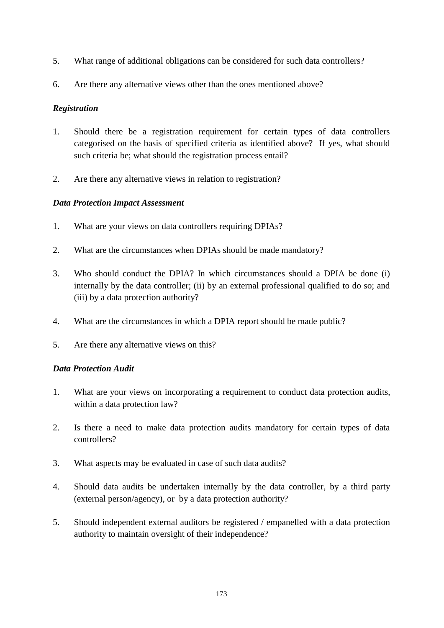- 5. What range of additional obligations can be considered for such data controllers?
- 6. Are there any alternative views other than the ones mentioned above?

### *Registration*

- 1. Should there be a registration requirement for certain types of data controllers categorised on the basis of specified criteria as identified above? If yes, what should such criteria be; what should the registration process entail?
- 2. Are there any alternative views in relation to registration?

### *Data Protection Impact Assessment*

- 1. What are your views on data controllers requiring DPIAs?
- 2. What are the circumstances when DPIAs should be made mandatory?
- 3. Who should conduct the DPIA? In which circumstances should a DPIA be done (i) internally by the data controller; (ii) by an external professional qualified to do so; and (iii) by a data protection authority?
- 4. What are the circumstances in which a DPIA report should be made public?
- 5. Are there any alternative views on this?

### *Data Protection Audit*

- 1. What are your views on incorporating a requirement to conduct data protection audits, within a data protection law?
- 2. Is there a need to make data protection audits mandatory for certain types of data controllers?
- 3. What aspects may be evaluated in case of such data audits?
- 4. Should data audits be undertaken internally by the data controller, by a third party (external person/agency), or by a data protection authority?
- 5. Should independent external auditors be registered / empanelled with a data protection authority to maintain oversight of their independence?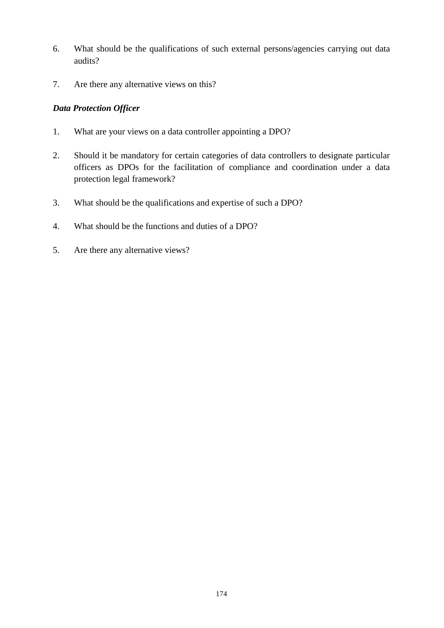- 6. What should be the qualifications of such external persons/agencies carrying out data audits?
- 7. Are there any alternative views on this?

### *Data Protection Officer*

- 1. What are your views on a data controller appointing a DPO?
- 2. Should it be mandatory for certain categories of data controllers to designate particular officers as DPOs for the facilitation of compliance and coordination under a data protection legal framework?
- 3. What should be the qualifications and expertise of such a DPO?
- 4. What should be the functions and duties of a DPO?
- 5. Are there any alternative views?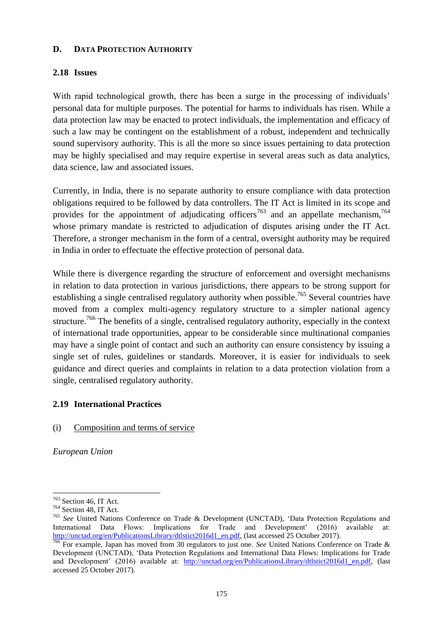#### **D. DATA PROTECTION AUTHORITY**

### **2.18 Issues**

With rapid technological growth, there has been a surge in the processing of individuals' personal data for multiple purposes. The potential for harms to individuals has risen. While a data protection law may be enacted to protect individuals, the implementation and efficacy of such a law may be contingent on the establishment of a robust, independent and technically sound supervisory authority. This is all the more so since issues pertaining to data protection may be highly specialised and may require expertise in several areas such as data analytics, data science, law and associated issues.

Currently, in India, there is no separate authority to ensure compliance with data protection obligations required to be followed by data controllers. The IT Act is limited in its scope and provides for the appointment of adjudicating officers<sup>763</sup> and an appellate mechanism.<sup>764</sup> whose primary mandate is restricted to adjudication of disputes arising under the IT Act. Therefore, a stronger mechanism in the form of a central, oversight authority may be required in India in order to effectuate the effective protection of personal data.

While there is divergence regarding the structure of enforcement and oversight mechanisms in relation to data protection in various jurisdictions, there appears to be strong support for establishing a single centralised regulatory authority when possible.<sup>765</sup> Several countries have moved from a complex multi-agency regulatory structure to a simpler national agency structure.<sup>766</sup> The benefits of a single, centralised regulatory authority, especially in the context of international trade opportunities, appear to be considerable since multinational companies may have a single point of contact and such an authority can ensure consistency by issuing a single set of rules, guidelines or standards. Moreover, it is easier for individuals to seek guidance and direct queries and complaints in relation to a data protection violation from a single, centralised regulatory authority.

### **2.19 International Practices**

#### (i) Composition and terms of service

*European Union*

l

<sup>763</sup> Section 46, IT Act.

<sup>764</sup> Section 48, IT Act.

<sup>765</sup> *See* United Nations Conference on Trade & Development (UNCTAD), ‗Data Protection Regulations and International Data Flows: Implications for Trade and Development' (2016) available at: [http://unctad.org/en/PublicationsLibrary/dtlstict2016d1\\_en.pdf,](http://unctad.org/en/PublicationsLibrary/dtlstict2016d1_en.pdf) (last accessed 25 October 2017).

<sup>766</sup> For example, Japan has moved from 30 regulators to just one. *See* United Nations Conference on Trade & Development (UNCTAD), 'Data Protection Regulations and International Data Flows: Implications for Trade and Development' (2016) available at: [http://unctad.org/en/PublicationsLibrary/dtlstict2016d1\\_en.pdf,](http://unctad.org/en/PublicationsLibrary/dtlstict2016d1_en.pdf) (last accessed 25 October 2017).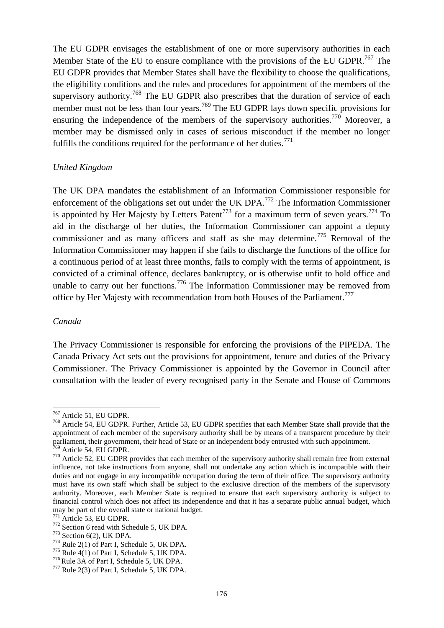The EU GDPR envisages the establishment of one or more supervisory authorities in each Member State of the EU to ensure compliance with the provisions of the EU GDPR.<sup>767</sup> The EU GDPR provides that Member States shall have the flexibility to choose the qualifications, the eligibility conditions and the rules and procedures for appointment of the members of the supervisory authority.<sup>768</sup> The EU GDPR also prescribes that the duration of service of each member must not be less than four years.<sup>769</sup> The EU GDPR lays down specific provisions for ensuring the independence of the members of the supervisory authorities.<sup>770</sup> Moreover, a member may be dismissed only in cases of serious misconduct if the member no longer fulfills the conditions required for the performance of her duties.<sup>771</sup>

#### *United Kingdom*

The UK DPA mandates the establishment of an Information Commissioner responsible for enforcement of the obligations set out under the UK DPA.<sup>772</sup> The Information Commissioner is appointed by Her Majesty by Letters Patent<sup>773</sup> for a maximum term of seven years.<sup>774</sup> To aid in the discharge of her duties, the Information Commissioner can appoint a deputy commissioner and as many officers and staff as she may determine.<sup>775</sup> Removal of the Information Commissioner may happen if she fails to discharge the functions of the office for a continuous period of at least three months, fails to comply with the terms of appointment, is convicted of a criminal offence, declares bankruptcy, or is otherwise unfit to hold office and unable to carry out her functions.<sup>776</sup> The Information Commissioner may be removed from office by Her Majesty with recommendation from both Houses of the Parliament.<sup>777</sup>

#### *Canada*

 $\overline{a}$ 

The Privacy Commissioner is responsible for enforcing the provisions of the PIPEDA. The Canada Privacy Act sets out the provisions for appointment, tenure and duties of the Privacy Commissioner. The Privacy Commissioner is appointed by the Governor in Council after consultation with the leader of every recognised party in the Senate and House of Commons

<sup>767</sup> Article 51, EU GDPR.

<sup>768</sup> Article 54, EU GDPR. Further, Article 53, EU GDPR specifies that each Member State shall provide that the appointment of each member of the supervisory authority shall be by means of a transparent procedure by their parliament, their government, their head of State or an independent body entrusted with such appointment.  $^9$  Article 54, EU GDPR.

<sup>&</sup>lt;sup>770</sup> Article 52, EU GDPR provides that each member of the supervisory authority shall remain free from external influence, not take instructions from anyone, shall not undertake any action which is incompatible with their duties and not engage in any incompatible occupation during the term of their office. The supervisory authority must have its own staff which shall be subject to the exclusive direction of the members of the supervisory authority. Moreover, each Member State is required to ensure that each supervisory authority is subject to financial control which does not affect its independence and that it has a separate public annual budget, which may be part of the overall state or national budget.

<sup>771</sup> Article 53, EU GDPR.

<sup>772</sup> Section 6 read with Schedule 5, UK DPA.

<sup>773</sup> Section 6(2), UK DPA.

<sup>774</sup> Rule 2(1) of Part I, Schedule 5, UK DPA.

 $775$  Rule 4(1) of Part I, Schedule 5, UK DPA.

<sup>776</sup> Rule 3A of Part I, Schedule 5, UK DPA.

<sup>777</sup> Rule 2(3) of Part I, Schedule 5, UK DPA.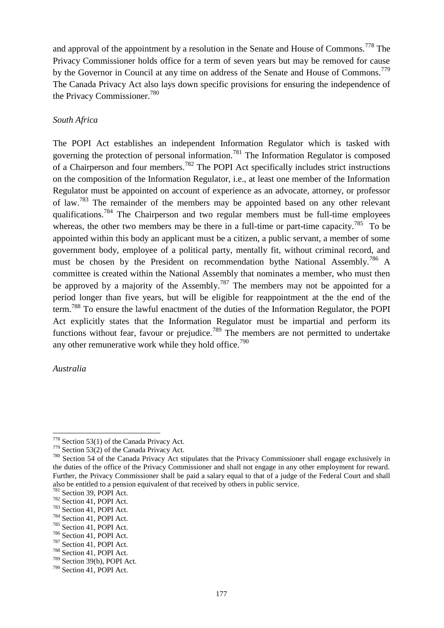and approval of the appointment by a resolution in the Senate and House of Commons.<sup>778</sup> The Privacy Commissioner holds office for a term of seven years but may be removed for cause by the Governor in Council at any time on address of the Senate and House of Commons.<sup>779</sup> The Canada Privacy Act also lays down specific provisions for ensuring the independence of the Privacy Commissioner.<sup>780</sup>

#### *South Africa*

The POPI Act establishes an independent Information Regulator which is tasked with governing the protection of personal information.<sup>781</sup> The Information Regulator is composed of a Chairperson and four members.<sup>782</sup> The POPI Act specifically includes strict instructions on the composition of the Information Regulator, i.e., at least one member of the Information Regulator must be appointed on account of experience as an advocate, attorney, or professor of law.<sup>783</sup> The remainder of the members may be appointed based on any other relevant qualifications.<sup>784</sup> The Chairperson and two regular members must be full-time employees whereas, the other two members may be there in a full-time or part-time capacity.<sup>785</sup> To be appointed within this body an applicant must be a citizen, a public servant, a member of some government body, employee of a political party, mentally fit, without criminal record, and must be chosen by the President on recommendation bythe National Assembly.<sup>786</sup> A committee is created within the National Assembly that nominates a member, who must then be approved by a majority of the Assembly.<sup>787</sup> The members may not be appointed for a period longer than five years, but will be eligible for reappointment at the the end of the term.<sup>788</sup> To ensure the lawful enactment of the duties of the Information Regulator, the POPI Act explicitly states that the Information Regulator must be impartial and perform its functions without fear, favour or prejudice.<sup>789</sup> The members are not permitted to undertake any other remunerative work while they hold office.<sup>790</sup>

*Australia*

 $\overline{\phantom{a}}$ 

<sup>778</sup> Section 53(1) of the Canada Privacy Act.

 $779$  Section 53(2) of the Canada Privacy Act.

<sup>780</sup> Section 54 of the Canada Privacy Act stipulates that the Privacy Commissioner shall engage exclusively in the duties of the office of the Privacy Commissioner and shall not engage in any other employment for reward. Further, the Privacy Commissioner shall be paid a salary equal to that of a judge of the Federal Court and shall also be entitled to a pension equivalent of that received by others in public service.

<sup>781</sup> Section 39, POPI Act.

<sup>782</sup> Section 41, POPI Act.

<sup>783</sup> Section 41, POPI Act.

<sup>784</sup> Section 41, POPI Act.

<sup>785</sup> Section 41, POPI Act.

<sup>786</sup> Section 41, POPI Act.

<sup>787</sup> Section 41, POPI Act.

<sup>788</sup> Section 41, POPI Act.

<sup>789</sup> Section 39(b), POPI Act.

<sup>790</sup> Section 41, POPI Act.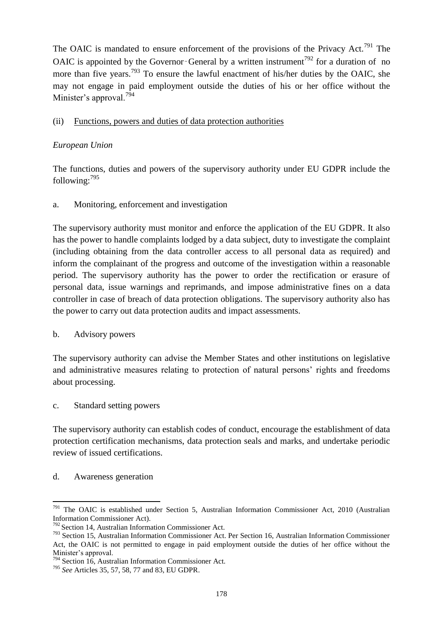The OAIC is mandated to ensure enforcement of the provisions of the Privacy Act.<sup>791</sup> The OAIC is appointed by the Governor–General by a written instrument<sup>792</sup> for a duration of no more than five years.<sup>793</sup> To ensure the lawful enactment of his/her duties by the OAIC, she may not engage in paid employment outside the duties of his or her office without the Minister's approval.<sup>794</sup>

### (ii) Functions, powers and duties of data protection authorities

### *European Union*

The functions, duties and powers of the supervisory authority under EU GDPR include the following: $795$ 

## a. Monitoring, enforcement and investigation

The supervisory authority must monitor and enforce the application of the EU GDPR. It also has the power to handle complaints lodged by a data subject, duty to investigate the complaint (including obtaining from the data controller access to all personal data as required) and inform the complainant of the progress and outcome of the investigation within a reasonable period. The supervisory authority has the power to order the rectification or erasure of personal data, issue warnings and reprimands, and impose administrative fines on a data controller in case of breach of data protection obligations. The supervisory authority also has the power to carry out data protection audits and impact assessments.

### b. Advisory powers

The supervisory authority can advise the Member States and other institutions on legislative and administrative measures relating to protection of natural persons' rights and freedoms about processing.

c. Standard setting powers

The supervisory authority can establish codes of conduct, encourage the establishment of data protection certification mechanisms, data protection seals and marks, and undertake periodic review of issued certifications.

#### d. Awareness generation

 $\overline{\phantom{a}}$  $791$  The OAIC is established under Section 5, Australian Information Commissioner Act, 2010 (Australian Information Commissioner Act).

<sup>792</sup> Section 14, Australian Information Commissioner Act.

<sup>793</sup> Section 15, Australian Information Commissioner Act. Per Section 16, Australian Information Commissioner Act, the OAIC is not permitted to engage in paid employment outside the duties of her office without the Minister's approval.

 $794$  Section 16. Australian Information Commissioner Act.

<sup>795</sup> *See* Articles 35, 57, 58, 77 and 83, EU GDPR.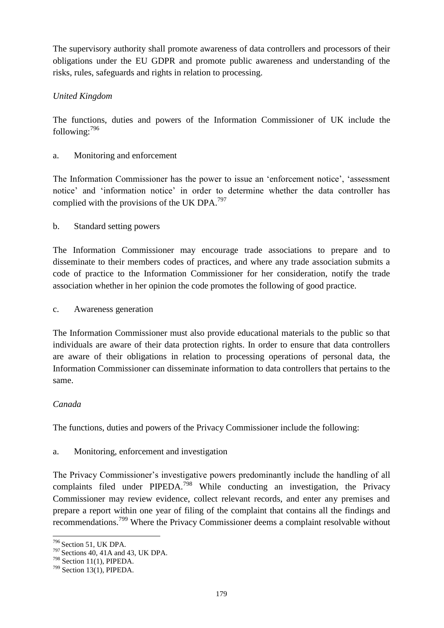The supervisory authority shall promote awareness of data controllers and processors of their obligations under the EU GDPR and promote public awareness and understanding of the risks, rules, safeguards and rights in relation to processing.

## *United Kingdom*

The functions, duties and powers of the Information Commissioner of UK include the following:<sup>796</sup>

a. Monitoring and enforcement

The Information Commissioner has the power to issue an 'enforcement notice', 'assessment notice' and ‗information notice' in order to determine whether the data controller has complied with the provisions of the UK DPA.<sup>797</sup>

b. Standard setting powers

The Information Commissioner may encourage trade associations to prepare and to disseminate to their members codes of practices, and where any trade association submits a code of practice to the Information Commissioner for her consideration, notify the trade association whether in her opinion the code promotes the following of good practice.

c. Awareness generation

The Information Commissioner must also provide educational materials to the public so that individuals are aware of their data protection rights. In order to ensure that data controllers are aware of their obligations in relation to processing operations of personal data, the Information Commissioner can disseminate information to data controllers that pertains to the same.

## *Canada*

The functions, duties and powers of the Privacy Commissioner include the following:

a. Monitoring, enforcement and investigation

The Privacy Commissioner's investigative powers predominantly include the handling of all complaints filed under PIPEDA.<sup>798</sup> While conducting an investigation, the Privacy Commissioner may review evidence, collect relevant records, and enter any premises and prepare a report within one year of filing of the complaint that contains all the findings and recommendations.<sup>799</sup> Where the Privacy Commissioner deems a complaint resolvable without

 $\overline{\phantom{a}}$ <sup>796</sup> Section 51, UK DPA.

<sup>797</sup> Sections 40, 41A and 43, UK DPA.

 $798$  Section 11(1), PIPEDA.

 $799$  Section 13(1), PIPEDA.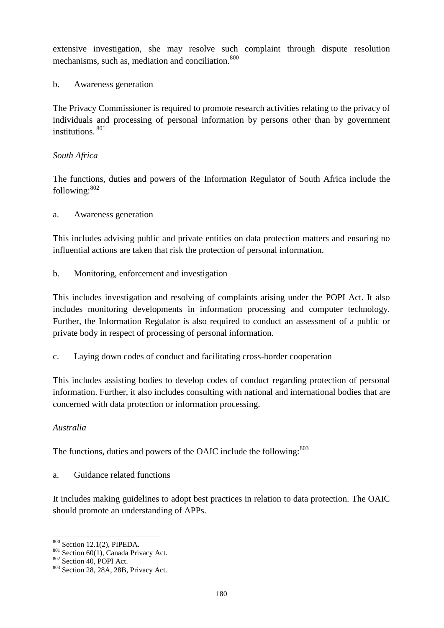extensive investigation, she may resolve such complaint through dispute resolution mechanisms, such as, mediation and conciliation.<sup>800</sup>

b. Awareness generation

The Privacy Commissioner is required to promote research activities relating to the privacy of individuals and processing of personal information by persons other than by government institutions. <sup>801</sup>

### *South Africa*

The functions, duties and powers of the Information Regulator of South Africa include the following: 802

#### a. Awareness generation

This includes advising public and private entities on data protection matters and ensuring no influential actions are taken that risk the protection of personal information.

b. Monitoring, enforcement and investigation

This includes investigation and resolving of complaints arising under the POPI Act. It also includes monitoring developments in information processing and computer technology. Further, the Information Regulator is also required to conduct an assessment of a public or private body in respect of processing of personal information.

c. Laying down codes of conduct and facilitating cross-border cooperation

This includes assisting bodies to develop codes of conduct regarding protection of personal information. Further, it also includes consulting with national and international bodies that are concerned with data protection or information processing.

#### *Australia*

 $\overline{\phantom{a}}$ 

The functions, duties and powers of the OAIC include the following:<sup>803</sup>

a. Guidance related functions

It includes making guidelines to adopt best practices in relation to data protection. The OAIC should promote an understanding of APPs.

 $800$  Section 12.1(2), PIPEDA.

<sup>801</sup> Section 60(1), Canada Privacy Act.

<sup>802</sup> Section 40, POPI Act.

<sup>803</sup> Section 28, 28A, 28B, Privacy Act.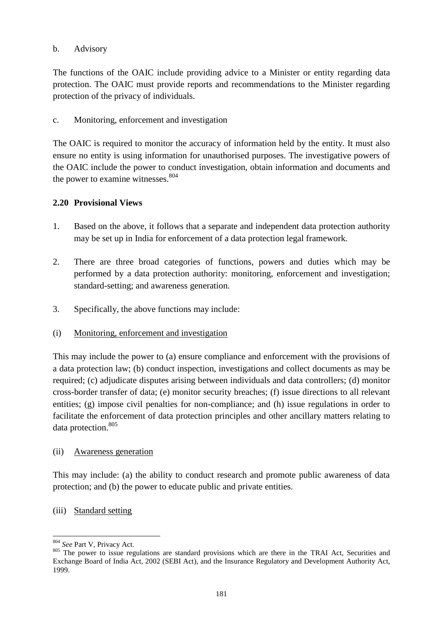### b. Advisory

The functions of the OAIC include providing advice to a Minister or entity regarding data protection. The OAIC must provide reports and recommendations to the Minister regarding protection of the privacy of individuals.

## c. Monitoring, enforcement and investigation

The OAIC is required to monitor the accuracy of information held by the entity. It must also ensure no entity is using information for unauthorised purposes. The investigative powers of the OAIC include the power to conduct investigation, obtain information and documents and the power to examine witnesses. $804$ 

## **2.20 Provisional Views**

- 1. Based on the above, it follows that a separate and independent data protection authority may be set up in India for enforcement of a data protection legal framework.
- 2. There are three broad categories of functions, powers and duties which may be performed by a data protection authority: monitoring, enforcement and investigation; standard-setting; and awareness generation.
- 3. Specifically, the above functions may include:
- (i) Monitoring, enforcement and investigation

This may include the power to (a) ensure compliance and enforcement with the provisions of a data protection law; (b) conduct inspection, investigations and collect documents as may be required; (c) adjudicate disputes arising between individuals and data controllers; (d) monitor cross-border transfer of data; (e) monitor security breaches; (f) issue directions to all relevant entities; (g) impose civil penalties for non-compliance; and (h) issue regulations in order to facilitate the enforcement of data protection principles and other ancillary matters relating to data protection.<sup>805</sup>

### (ii) Awareness generation

This may include: (a) the ability to conduct research and promote public awareness of data protection; and (b) the power to educate public and private entities.

### (iii) Standard setting

 $\overline{\phantom{a}}$ 

<sup>804</sup> *See* Part V, Privacy Act.

<sup>&</sup>lt;sup>805</sup> The power to issue regulations are standard provisions which are there in the TRAI Act, Securities and Exchange Board of India Act, 2002 (SEBI Act), and the Insurance Regulatory and Development Authority Act, 1999.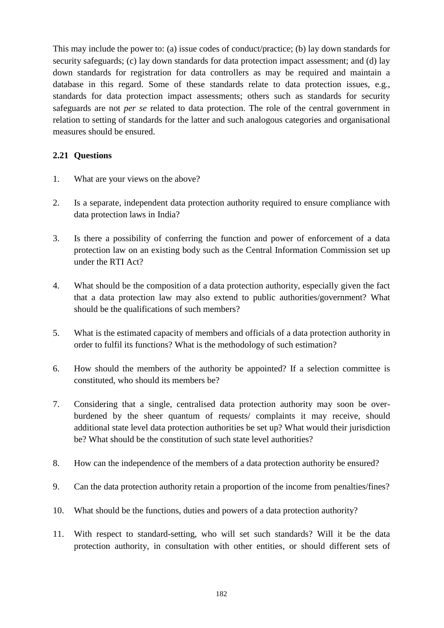This may include the power to: (a) issue codes of conduct/practice; (b) lay down standards for security safeguards; (c) lay down standards for data protection impact assessment; and (d) lay down standards for registration for data controllers as may be required and maintain a database in this regard. Some of these standards relate to data protection issues, e.g., standards for data protection impact assessments; others such as standards for security safeguards are not *per se* related to data protection. The role of the central government in relation to setting of standards for the latter and such analogous categories and organisational measures should be ensured.

### **2.21 Questions**

- 1. What are your views on the above?
- 2. Is a separate, independent data protection authority required to ensure compliance with data protection laws in India?
- 3. Is there a possibility of conferring the function and power of enforcement of a data protection law on an existing body such as the Central Information Commission set up under the RTI Act?
- 4. What should be the composition of a data protection authority, especially given the fact that a data protection law may also extend to public authorities/government? What should be the qualifications of such members?
- 5. What is the estimated capacity of members and officials of a data protection authority in order to fulfil its functions? What is the methodology of such estimation?
- 6. How should the members of the authority be appointed? If a selection committee is constituted, who should its members be?
- 7. Considering that a single, centralised data protection authority may soon be overburdened by the sheer quantum of requests/ complaints it may receive, should additional state level data protection authorities be set up? What would their jurisdiction be? What should be the constitution of such state level authorities?
- 8. How can the independence of the members of a data protection authority be ensured?
- 9. Can the data protection authority retain a proportion of the income from penalties/fines?
- 10. What should be the functions, duties and powers of a data protection authority?
- 11. With respect to standard-setting, who will set such standards? Will it be the data protection authority, in consultation with other entities, or should different sets of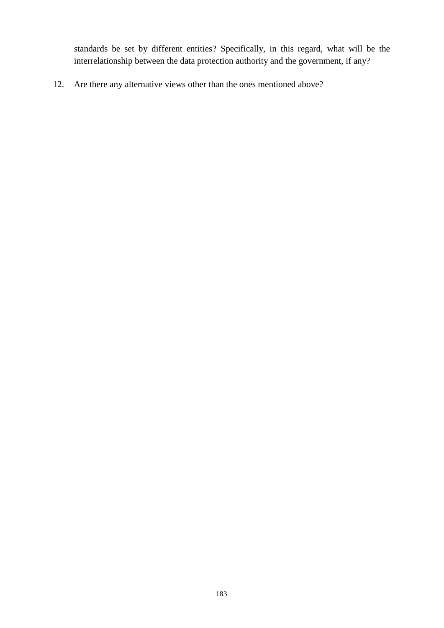standards be set by different entities? Specifically, in this regard, what will be the interrelationship between the data protection authority and the government, if any?

12. Are there any alternative views other than the ones mentioned above?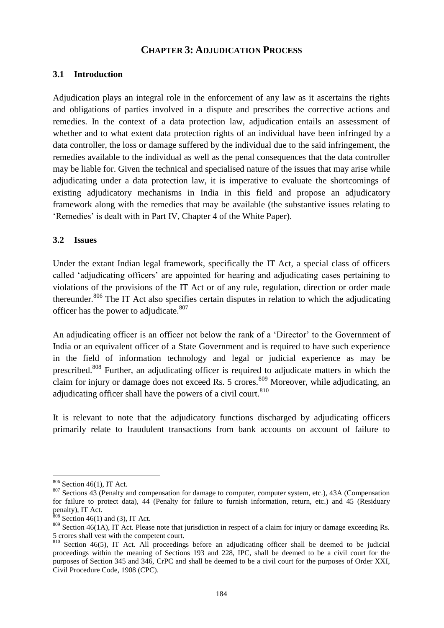### **CHAPTER 3: ADJUDICATION PROCESS**

#### **3.1 Introduction**

Adjudication plays an integral role in the enforcement of any law as it ascertains the rights and obligations of parties involved in a dispute and prescribes the corrective actions and remedies. In the context of a data protection law, adjudication entails an assessment of whether and to what extent data protection rights of an individual have been infringed by a data controller, the loss or damage suffered by the individual due to the said infringement, the remedies available to the individual as well as the penal consequences that the data controller may be liable for. Given the technical and specialised nature of the issues that may arise while adjudicating under a data protection law, it is imperative to evaluate the shortcomings of existing adjudicatory mechanisms in India in this field and propose an adjudicatory framework along with the remedies that may be available (the substantive issues relating to ‗Remedies' is dealt with in Part IV, Chapter 4 of the White Paper).

#### **3.2 Issues**

Under the extant Indian legal framework, specifically the IT Act, a special class of officers called ‗adjudicating officers' are appointed for hearing and adjudicating cases pertaining to violations of the provisions of the IT Act or of any rule, regulation, direction or order made thereunder.<sup>806</sup> The IT Act also specifies certain disputes in relation to which the adjudicating officer has the power to adjudicate. $807$ 

An adjudicating officer is an officer not below the rank of a 'Director' to the Government of India or an equivalent officer of a State Government and is required to have such experience in the field of information technology and legal or judicial experience as may be prescribed.<sup>808</sup> Further, an adjudicating officer is required to adjudicate matters in which the claim for injury or damage does not exceed Rs. 5 crores.<sup>809</sup> Moreover, while adjudicating, an adjudicating officer shall have the powers of a civil court.  $810$ 

It is relevant to note that the adjudicatory functions discharged by adjudicating officers primarily relate to fraudulent transactions from bank accounts on account of failure to

 $\overline{\phantom{a}}$ 

<sup>806</sup> Section 46(1), IT Act.

<sup>&</sup>lt;sup>807</sup> Sections 43 (Penalty and compensation for damage to computer, computer system, etc.), 43A (Compensation for failure to protect data), 44 (Penalty for failure to furnish information, return, etc.) and 45 (Residuary penalty), IT Act.

 $\frac{$08}{$8}$  Section 46(1) and (3), IT Act.

 $809$  Section 46(1A), IT Act. Please note that jurisdiction in respect of a claim for injury or damage exceeding Rs. 5 crores shall vest with the competent court.

<sup>&</sup>lt;sup>810</sup> Section 46(5), IT Act. All proceedings before an adjudicating officer shall be deemed to be judicial proceedings within the meaning of Sections 193 and 228, IPC, shall be deemed to be a civil court for the purposes of Section 345 and 346, CrPC and shall be deemed to be a civil court for the purposes of Order XXI, Civil Procedure Code, 1908 (CPC).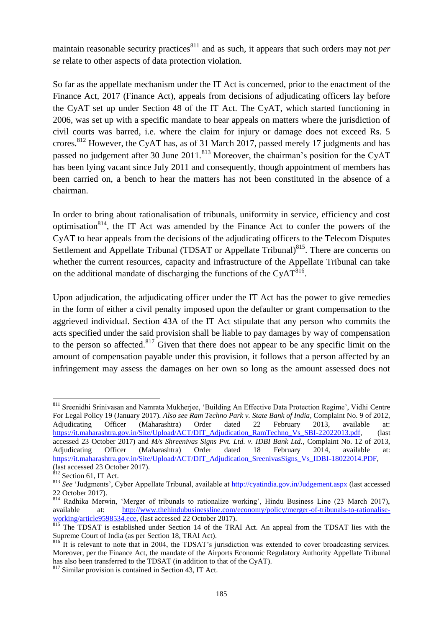maintain reasonable security practices<sup>811</sup> and as such, it appears that such orders may not *per se* relate to other aspects of data protection violation.

So far as the appellate mechanism under the IT Act is concerned, prior to the enactment of the Finance Act, 2017 (Finance Act), appeals from decisions of adjudicating officers lay before the CyAT set up under Section 48 of the IT Act. The CyAT, which started functioning in 2006, was set up with a specific mandate to hear appeals on matters where the jurisdiction of civil courts was barred, i.e. where the claim for injury or damage does not exceed Rs. 5 crores.<sup>812</sup> However, the CyAT has, as of 31 March 2017, passed merely 17 judgments and has passed no judgement after 30 June 2011.<sup>813</sup> Moreover, the chairman's position for the CyAT has been lying vacant since July 2011 and consequently, though appointment of members has been carried on, a bench to hear the matters has not been constituted in the absence of a chairman.

In order to bring about rationalisation of tribunals, uniformity in service, efficiency and cost optimisation<sup>814</sup>, the IT Act was amended by the Finance Act to confer the powers of the CyAT to hear appeals from the decisions of the adjudicating officers to the Telecom Disputes Settlement and Appellate Tribunal (TDSAT or Appellate Tribunal)<sup>815</sup>. There are concerns on whether the current resources, capacity and infrastructure of the Appellate Tribunal can take on the additional mandate of discharging the functions of the  $\text{CyAT}^{816}$ .

Upon adjudication, the adjudicating officer under the IT Act has the power to give remedies in the form of either a civil penalty imposed upon the defaulter or grant compensation to the aggrieved individual. Section 43A of the IT Act stipulate that any person who commits the acts specified under the said provision shall be liable to pay damages by way of compensation to the person so affected.<sup>817</sup> Given that there does not appear to be any specific limit on the amount of compensation payable under this provision, it follows that a person affected by an infringement may assess the damages on her own so long as the amount assessed does not

 $\overline{\phantom{a}}$ 811 Sreenidhi Srinivasan and Namrata Mukherjee, 'Building An Effective Data Protection Regime', Vidhi Centre For Legal Policy 19 (January 2017). *Also see Ram Techno Park v. State Bank of India*, Complaint No. 9 of 2012, Adjudicating Officer (Maharashtra) Order dated 22 February 2013, available at: [https://it.maharashtra.gov.in/Site/Upload/ACT/DIT\\_Adjudication\\_RamTechno\\_Vs\\_SBI-22022013.pdf,](https://it.maharashtra.gov.in/Site/Upload/ACT/DIT_Adjudication_RamTechno_Vs_SBI-22022013.pdf) (last accessed 23 October 2017) and *M/s Shreenivas Signs Pvt. Ltd. v. IDBI Bank Ltd.*, Complaint No. 12 of 2013, Adjudicating Officer (Maharashtra) Order dated 18 February 2014, available at: [https://it.maharashtra.gov.in/Site/Upload/ACT/DIT\\_Adjudication\\_SreenivasSigns\\_Vs\\_IDBI-18022014.PDF,](https://it.maharashtra.gov.in/Site/Upload/ACT/DIT_Adjudication_SreenivasSigns_Vs_IDBI-18022014.PDF) (last accessed 23 October 2017).

<sup>812</sup> Section 61, IT Act.

<sup>813</sup> *See* ‗Judgments', Cyber Appellate Tribunal, available at<http://cyatindia.gov.in/Judgement.aspx> (last accessed 22 October 2017).

<sup>814</sup> Radhika Merwin, 'Merger of tribunals to rationalize working', Hindu Business Line (23 March 2017), available at: [http://www.thehindubusinessline.com/economy/policy/merger-of-tribunals-to-rationalise](http://www.thehindubusinessline.com/economy/policy/merger-of-tribunals-to-rationalise-working/article9598534.ece)[working/article9598534.ece,](http://www.thehindubusinessline.com/economy/policy/merger-of-tribunals-to-rationalise-working/article9598534.ece) (last accessed 22 October 2017).

<sup>815</sup> The TDSAT is established under Section 14 of the TRAI Act. An appeal from the TDSAT lies with the Supreme Court of India (as per Section 18, TRAI Act).

<sup>&</sup>lt;sup>816</sup>It is relevant to note that in 2004, the TDSAT's jurisdiction was extended to cover broadcasting services. Moreover, per the Finance Act, the mandate of the Airports Economic Regulatory Authority Appellate Tribunal has also been transferred to the TDSAT (in addition to that of the CyAT).

 $817$  Similar provision is contained in Section 43, IT Act.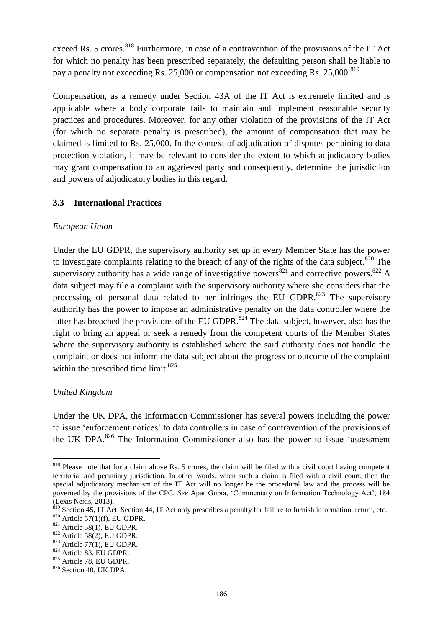exceed Rs. 5 crores.<sup>818</sup> Furthermore, in case of a contravention of the provisions of the IT Act for which no penalty has been prescribed separately, the defaulting person shall be liable to pay a penalty not exceeding Rs. 25,000 or compensation not exceeding Rs. 25,000.<sup>819</sup>

Compensation, as a remedy under Section 43A of the IT Act is extremely limited and is applicable where a body corporate fails to maintain and implement reasonable security practices and procedures. Moreover, for any other violation of the provisions of the IT Act (for which no separate penalty is prescribed), the amount of compensation that may be claimed is limited to Rs. 25,000. In the context of adjudication of disputes pertaining to data protection violation, it may be relevant to consider the extent to which adjudicatory bodies may grant compensation to an aggrieved party and consequently, determine the jurisdiction and powers of adjudicatory bodies in this regard.

#### **3.3 International Practices**

#### *European Union*

Under the EU GDPR, the supervisory authority set up in every Member State has the power to investigate complaints relating to the breach of any of the rights of the data subject. $820$  The supervisory authority has a wide range of investigative powers<sup>821</sup> and corrective powers.<sup>822</sup> A data subject may file a complaint with the supervisory authority where she considers that the processing of personal data related to her infringes the EU GDPR.<sup>823</sup> The supervisory authority has the power to impose an administrative penalty on the data controller where the latter has breached the provisions of the EU GDPR. $824$  The data subject, however, also has the right to bring an appeal or seek a remedy from the competent courts of the Member States where the supervisory authority is established where the said authority does not handle the complaint or does not inform the data subject about the progress or outcome of the complaint within the prescribed time limit. $825$ 

#### *United Kingdom*

l

Under the UK DPA, the Information Commissioner has several powers including the power to issue 'enforcement notices' to data controllers in case of contravention of the provisions of the UK DPA.<sup>826</sup> The Information Commissioner also has the power to issue 'assessment

 $818$  Please note that for a claim above Rs. 5 crores, the claim will be filed with a civil court having competent territorial and pecuniary jurisdiction. In other words, when such a claim is filed with a civil court, then the special adjudicatory mechanism of the IT Act will no longer be the procedural law and the process will be governed by the provisions of the CPC. *See* Apar Gupta, ‗Commentary on Information Technology Act', 184 (Lexis Nexis, 2013).

 $819$  Section 45, IT Act. Section 44, IT Act only prescribes a penalty for failure to furnish information, return, etc.

 $820$  Article 57(1)(f), EU GDPR.

 $821$  Article 58(1), EU GDPR.

<sup>822</sup> Article 58(2), EU GDPR.

 $823$  Article 77(1), EU GDPR.

<sup>824</sup> Article 83, EU GDPR.

<sup>825</sup> Article 78, EU GDPR.

<sup>&</sup>lt;sup>826</sup> Section 40, UK DPA.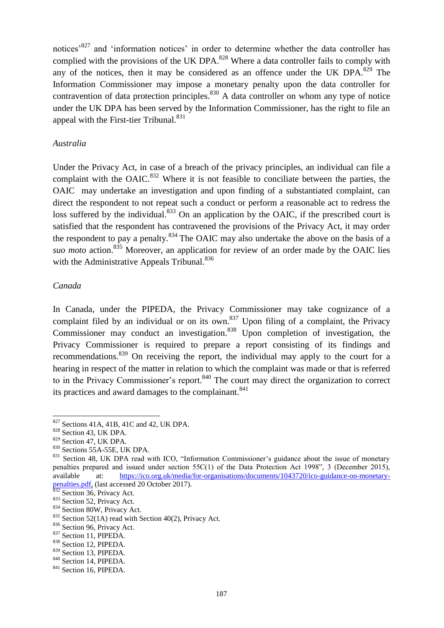notices'<sup>827</sup> and 'information notices' in order to determine whether the data controller has complied with the provisions of the UK DPA.<sup>828</sup> Where a data controller fails to comply with any of the notices, then it may be considered as an offence under the UK DPA. $829$  The Information Commissioner may impose a monetary penalty upon the data controller for contravention of data protection principles.<sup>830</sup> A data controller on whom any type of notice under the UK DPA has been served by the Information Commissioner, has the right to file an appeal with the First-tier Tribunal.<sup>831</sup>

#### *Australia*

Under the Privacy Act, in case of a breach of the privacy principles, an individual can file a complaint with the  $OAIC$ <sup>832</sup> Where it is not feasible to conciliate between the parties, the OAIC may undertake an investigation and upon finding of a substantiated complaint, can direct the respondent to not repeat such a conduct or perform a reasonable act to redress the loss suffered by the individual.<sup>833</sup> On an application by the OAIC, if the prescribed court is satisfied that the respondent has contravened the provisions of the Privacy Act, it may order the respondent to pay a penalty.<sup>834</sup> The OAIC may also undertake the above on the basis of a *suo moto* action.<sup>835</sup> Moreover, an application for review of an order made by the OAIC lies with the Administrative Appeals Tribunal.<sup>836</sup>

#### *Canada*

 $\overline{a}$ 

In Canada, under the PIPEDA, the Privacy Commissioner may take cognizance of a complaint filed by an individual or on its own. $837$  Upon filing of a complaint, the Privacy Commissioner may conduct an investigation. $838$  Upon completion of investigation, the Privacy Commissioner is required to prepare a report consisting of its findings and recommendations.<sup>839</sup> On receiving the report, the individual may apply to the court for a hearing in respect of the matter in relation to which the complaint was made or that is referred to in the Privacy Commissioner's report.<sup>840</sup> The court may direct the organization to correct its practices and award damages to the complainant.<sup>841</sup>

 $827$  Sections 41A, 41B, 41C and 42, UK DPA.

<sup>828</sup> Section 43, UK DPA.

<sup>829</sup> Section 47, UK DPA.

<sup>830</sup> Sections 55A-55E, UK DPA.

<sup>831</sup> Section 48, UK DPA read with ICO, "Information Commissioner's guidance about the issue of monetary penalties prepared and issued under section  $55C(1)$  of the Data Protection Act 1998", 3 (December 2015), available at: [https://ico.org.uk/media/for-organisations/documents/1043720/ico-guidance-on-monetary](https://ico.org.uk/media/for-organisations/documents/1043720/ico-guidance-on-monetary-penalties.pdf)[penalties.pdf,](https://ico.org.uk/media/for-organisations/documents/1043720/ico-guidance-on-monetary-penalties.pdf) (last accessed 20 October 2017).

 $\frac{832}{8}$  Section 36, Privacy Act.

<sup>833</sup> Section 52, Privacy Act.

<sup>834</sup> Section 80W, Privacy Act.

<sup>835</sup> Section 52(1A) read with Section 40(2), Privacy Act.

<sup>836</sup> Section 96, Privacy Act.

<sup>837</sup> Section 11, PIPEDA.

<sup>838</sup> Section 12, PIPEDA.

<sup>839</sup> Section 13, PIPEDA.

<sup>840</sup> Section 14, PIPEDA.

<sup>&</sup>lt;sup>841</sup> Section 16, PIPEDA.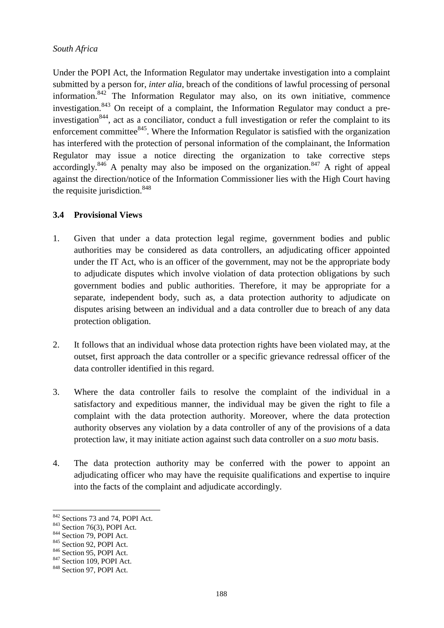### *South Africa*

Under the POPI Act, the Information Regulator may undertake investigation into a complaint submitted by a person for, *inter alia*, breach of the conditions of lawful processing of personal information.<sup>842</sup> The Information Regulator may also, on its own initiative, commence investigation.<sup>843</sup> On receipt of a complaint, the Information Regulator may conduct a preinvestigation<sup>844</sup>, act as a conciliator, conduct a full investigation or refer the complaint to its enforcement committee $845$ . Where the Information Regulator is satisfied with the organization has interfered with the protection of personal information of the complainant, the Information Regulator may issue a notice directing the organization to take corrective steps accordingly.<sup>846</sup> A penalty may also be imposed on the organization.<sup>847</sup> A right of appeal against the direction/notice of the Information Commissioner lies with the High Court having the requisite jurisdiction.<sup>848</sup>

### **3.4 Provisional Views**

- 1. Given that under a data protection legal regime, government bodies and public authorities may be considered as data controllers, an adjudicating officer appointed under the IT Act, who is an officer of the government, may not be the appropriate body to adjudicate disputes which involve violation of data protection obligations by such government bodies and public authorities. Therefore, it may be appropriate for a separate, independent body, such as, a data protection authority to adjudicate on disputes arising between an individual and a data controller due to breach of any data protection obligation.
- 2. It follows that an individual whose data protection rights have been violated may, at the outset, first approach the data controller or a specific grievance redressal officer of the data controller identified in this regard.
- 3. Where the data controller fails to resolve the complaint of the individual in a satisfactory and expeditious manner, the individual may be given the right to file a complaint with the data protection authority. Moreover, where the data protection authority observes any violation by a data controller of any of the provisions of a data protection law, it may initiate action against such data controller on a *suo motu* basis.
- 4. The data protection authority may be conferred with the power to appoint an adjudicating officer who may have the requisite qualifications and expertise to inquire into the facts of the complaint and adjudicate accordingly.

 $\overline{\phantom{a}}$ 

<sup>&</sup>lt;sup>842</sup> Sections 73 and 74, POPI Act.

<sup>843</sup> Section 76(3), POPI Act.

<sup>844</sup> Section 79, POPI Act.

<sup>845</sup> Section 92, POPI Act.

<sup>846</sup> Section 95, POPI Act.

 $847$  Section 109, POPI Act.

<sup>848</sup> Section 97, POPI Act.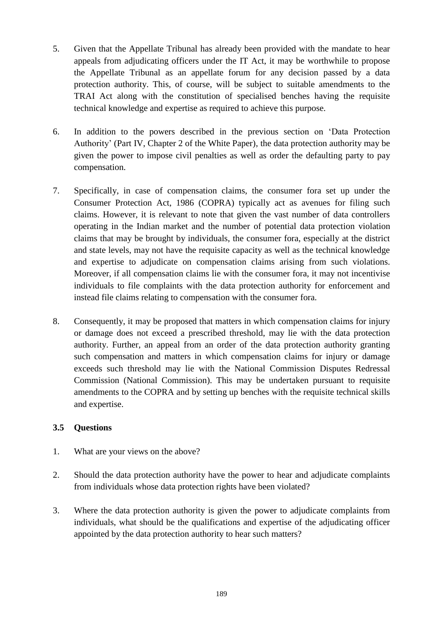- 5. Given that the Appellate Tribunal has already been provided with the mandate to hear appeals from adjudicating officers under the IT Act, it may be worthwhile to propose the Appellate Tribunal as an appellate forum for any decision passed by a data protection authority. This, of course, will be subject to suitable amendments to the TRAI Act along with the constitution of specialised benches having the requisite technical knowledge and expertise as required to achieve this purpose.
- 6. In addition to the powers described in the previous section on ‗Data Protection Authority' (Part IV, Chapter 2 of the White Paper), the data protection authority may be given the power to impose civil penalties as well as order the defaulting party to pay compensation.
- 7. Specifically, in case of compensation claims, the consumer fora set up under the Consumer Protection Act, 1986 (COPRA) typically act as avenues for filing such claims. However, it is relevant to note that given the vast number of data controllers operating in the Indian market and the number of potential data protection violation claims that may be brought by individuals, the consumer fora, especially at the district and state levels, may not have the requisite capacity as well as the technical knowledge and expertise to adjudicate on compensation claims arising from such violations. Moreover, if all compensation claims lie with the consumer fora, it may not incentivise individuals to file complaints with the data protection authority for enforcement and instead file claims relating to compensation with the consumer fora.
- 8. Consequently, it may be proposed that matters in which compensation claims for injury or damage does not exceed a prescribed threshold, may lie with the data protection authority. Further, an appeal from an order of the data protection authority granting such compensation and matters in which compensation claims for injury or damage exceeds such threshold may lie with the National Commission Disputes Redressal Commission (National Commission). This may be undertaken pursuant to requisite amendments to the COPRA and by setting up benches with the requisite technical skills and expertise.

### **3.5 Questions**

- 1. What are your views on the above?
- 2. Should the data protection authority have the power to hear and adjudicate complaints from individuals whose data protection rights have been violated?
- 3. Where the data protection authority is given the power to adjudicate complaints from individuals, what should be the qualifications and expertise of the adjudicating officer appointed by the data protection authority to hear such matters?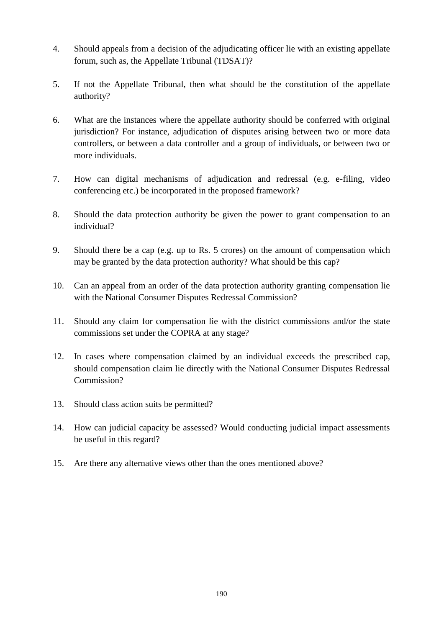- 4. Should appeals from a decision of the adjudicating officer lie with an existing appellate forum, such as, the Appellate Tribunal (TDSAT)?
- 5. If not the Appellate Tribunal, then what should be the constitution of the appellate authority?
- 6. What are the instances where the appellate authority should be conferred with original jurisdiction? For instance, adjudication of disputes arising between two or more data controllers, or between a data controller and a group of individuals, or between two or more individuals.
- 7. How can digital mechanisms of adjudication and redressal (e.g. e-filing, video conferencing etc.) be incorporated in the proposed framework?
- 8. Should the data protection authority be given the power to grant compensation to an individual?
- 9. Should there be a cap (e.g. up to Rs. 5 crores) on the amount of compensation which may be granted by the data protection authority? What should be this cap?
- 10. Can an appeal from an order of the data protection authority granting compensation lie with the National Consumer Disputes Redressal Commission?
- 11. Should any claim for compensation lie with the district commissions and/or the state commissions set under the COPRA at any stage?
- 12. In cases where compensation claimed by an individual exceeds the prescribed cap, should compensation claim lie directly with the National Consumer Disputes Redressal Commission?
- 13. Should class action suits be permitted?
- 14. How can judicial capacity be assessed? Would conducting judicial impact assessments be useful in this regard?
- 15. Are there any alternative views other than the ones mentioned above?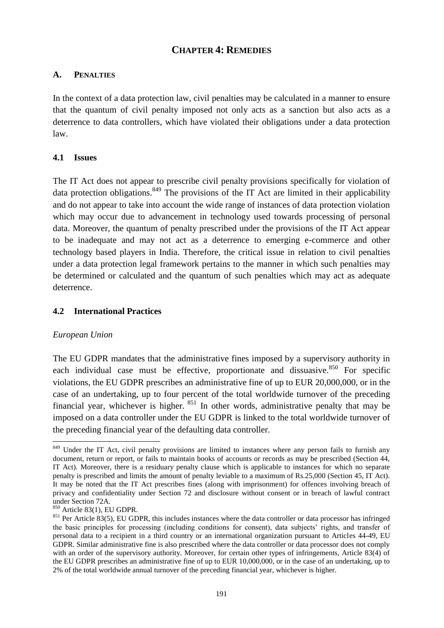## **CHAPTER 4: REMEDIES**

#### **A. PENALTIES**

In the context of a data protection law, civil penalties may be calculated in a manner to ensure that the quantum of civil penalty imposed not only acts as a sanction but also acts as a deterrence to data controllers, which have violated their obligations under a data protection law.

#### **4.1 Issues**

The IT Act does not appear to prescribe civil penalty provisions specifically for violation of data protection obligations.<sup>849</sup> The provisions of the IT Act are limited in their applicability and do not appear to take into account the wide range of instances of data protection violation which may occur due to advancement in technology used towards processing of personal data. Moreover, the quantum of penalty prescribed under the provisions of the IT Act appear to be inadequate and may not act as a deterrence to emerging e-commerce and other technology based players in India. Therefore, the critical issue in relation to civil penalties under a data protection legal framework pertains to the manner in which such penalties may be determined or calculated and the quantum of such penalties which may act as adequate deterrence.

#### **4.2 International Practices**

#### *European Union*

The EU GDPR mandates that the administrative fines imposed by a supervisory authority in each individual case must be effective, proportionate and dissuasive.<sup>850</sup> For specific violations, the EU GDPR prescribes an administrative fine of up to EUR 20,000,000, or in the case of an undertaking, up to four percent of the total worldwide turnover of the preceding financial year, whichever is higher.  $851$  In other words, administrative penalty that may be imposed on a data controller under the EU GDPR is linked to the total worldwide turnover of the preceding financial year of the defaulting data controller.

 $\overline{a}$ <sup>849</sup> Under the IT Act, civil penalty provisions are limited to instances where any person fails to furnish any document, return or report, or fails to maintain books of accounts or records as may be prescribed (Section 44, IT Act). Moreover, there is a residuary penalty clause which is applicable to instances for which no separate penalty is prescribed and limits the amount of penalty leviable to a maximum of Rs.25,000 (Section 45, IT Act). It may be noted that the IT Act prescribes fines (along with imprisonment) for offences involving breach of privacy and confidentiality under Section 72 and disclosure without consent or in breach of lawful contract under Section 72A.

<sup>850</sup> Article 83(1), EU GDPR.

 $851$  Per Article  $83(5)$ , EU GDPR, this includes instances where the data controller or data processor has infringed the basic principles for processing (including conditions for consent), data subjects' rights, and transfer of personal data to a recipient in a third country or an international organization pursuant to Articles 44-49, EU GDPR. Similar administrative fine is also prescribed where the data controller or data processor does not comply with an order of the supervisory authority. Moreover, for certain other types of infringements, Article 83(4) of the EU GDPR prescribes an administrative fine of up to EUR 10,000,000, or in the case of an undertaking, up to 2% of the total worldwide annual turnover of the preceding financial year, whichever is higher.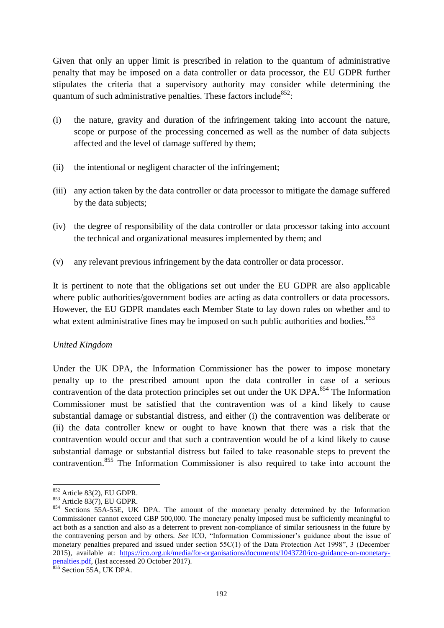Given that only an upper limit is prescribed in relation to the quantum of administrative penalty that may be imposed on a data controller or data processor, the EU GDPR further stipulates the criteria that a supervisory authority may consider while determining the quantum of such administrative penalties. These factors include<sup>852</sup>:

- (i) the nature, gravity and duration of the infringement taking into account the nature, scope or purpose of the processing concerned as well as the number of data subjects affected and the level of damage suffered by them;
- (ii) the intentional or negligent character of the infringement;
- (iii) any action taken by the data controller or data processor to mitigate the damage suffered by the data subjects;
- (iv) the degree of responsibility of the data controller or data processor taking into account the technical and organizational measures implemented by them; and
- (v) any relevant previous infringement by the data controller or data processor.

It is pertinent to note that the obligations set out under the EU GDPR are also applicable where public authorities/government bodies are acting as data controllers or data processors. However, the EU GDPR mandates each Member State to lay down rules on whether and to what extent administrative fines may be imposed on such public authorities and bodies.<sup>853</sup>

#### *United Kingdom*

Under the UK DPA, the Information Commissioner has the power to impose monetary penalty up to the prescribed amount upon the data controller in case of a serious contravention of the data protection principles set out under the UK DPA.<sup>854</sup> The Information Commissioner must be satisfied that the contravention was of a kind likely to cause substantial damage or substantial distress, and either (i) the contravention was deliberate or (ii) the data controller knew or ought to have known that there was a risk that the contravention would occur and that such a contravention would be of a kind likely to cause substantial damage or substantial distress but failed to take reasonable steps to prevent the contravention.<sup>855</sup> The Information Commissioner is also required to take into account the

 $\overline{\phantom{a}}$ 

<sup>852</sup> Article 83(2), EU GDPR.

 $853$  Article  $83(7)$ , EU GDPR.

<sup>854</sup> Sections 55A-55E, UK DPA. The amount of the monetary penalty determined by the Information Commissioner cannot exceed GBP 500,000. The monetary penalty imposed must be sufficiently meaningful to act both as a sanction and also as a deterrent to prevent non-compliance of similar seriousness in the future by the contravening person and by others. *See* ICO, "Information Commissioner's guidance about the issue of monetary penalties prepared and issued under section 55C(1) of the Data Protection Act 1998", 3 (December 2015), available at: [https://ico.org.uk/media/for-organisations/documents/1043720/ico-guidance-on-monetary](https://ico.org.uk/media/for-organisations/documents/1043720/ico-guidance-on-monetary-penalties.pdf)[penalties.pdf,](https://ico.org.uk/media/for-organisations/documents/1043720/ico-guidance-on-monetary-penalties.pdf) (last accessed 20 October 2017).

<sup>855</sup> Section 55A, UK DPA.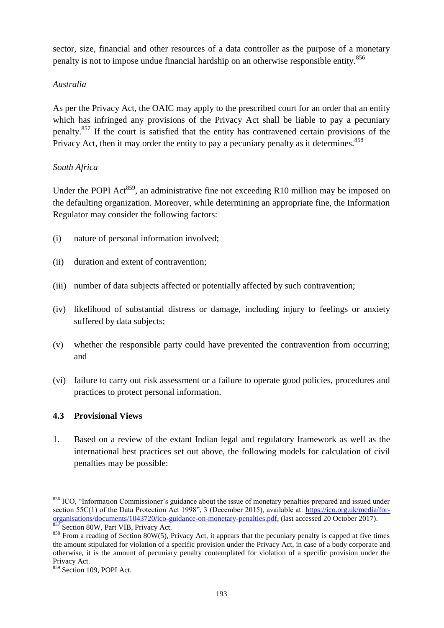sector, size, financial and other resources of a data controller as the purpose of a monetary penalty is not to impose undue financial hardship on an otherwise responsible entity.<sup>856</sup>

### *Australia*

As per the Privacy Act, the OAIC may apply to the prescribed court for an order that an entity which has infringed any provisions of the Privacy Act shall be liable to pay a pecuniary penalty.<sup>857</sup> If the court is satisfied that the entity has contravened certain provisions of the Privacy Act, then it may order the entity to pay a pecuniary penalty as it determines.<sup>858</sup>

## *South Africa*

Under the POPI  $Act^{859}$ , an administrative fine not exceeding R10 million may be imposed on the defaulting organization. Moreover, while determining an appropriate fine, the Information Regulator may consider the following factors:

- (i) nature of personal information involved;
- (ii) duration and extent of contravention;
- (iii) number of data subjects affected or potentially affected by such contravention;
- (iv) likelihood of substantial distress or damage, including injury to feelings or anxiety suffered by data subjects;
- (v) whether the responsible party could have prevented the contravention from occurring; and
- (vi) failure to carry out risk assessment or a failure to operate good policies, procedures and practices to protect personal information.

## **4.3 Provisional Views**

1. Based on a review of the extant Indian legal and regulatory framework as well as the international best practices set out above, the following models for calculation of civil penalties may be possible:

l

<sup>856</sup> ICO, "Information Commissioner's guidance about the issue of monetary penalties prepared and issued under section 55C(1) of the Data Protection Act 1998", 3 (December 2015), available at: [https://ico.org.uk/media/for](https://ico.org.uk/media/for-organisations/documents/1043720/ico-guidance-on-monetary-penalties.pdf)[organisations/documents/1043720/ico-guidance-on-monetary-penalties.pdf,](https://ico.org.uk/media/for-organisations/documents/1043720/ico-guidance-on-monetary-penalties.pdf) (last accessed 20 October 2017).

Section 80W, Part VIB, Privacy Act.

<sup>&</sup>lt;sup>858</sup> From a reading of Section 80W(5), Privacy Act, it appears that the pecuniary penalty is capped at five times the amount stipulated for violation of a specific provision under the Privacy Act, in case of a body corporate and otherwise, it is the amount of pecuniary penalty contemplated for violation of a specific provision under the Privacy Act.

<sup>859</sup> Section 109, POPI Act.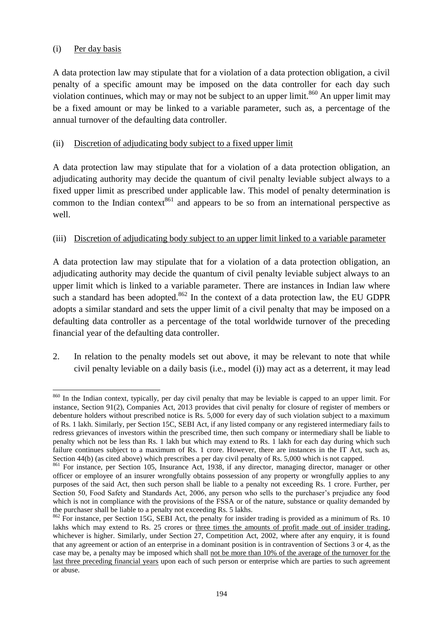### (i) Per day basis

A data protection law may stipulate that for a violation of a data protection obligation, a civil penalty of a specific amount may be imposed on the data controller for each day such violation continues, which may or may not be subject to an upper limit.<sup>860</sup> An upper limit may be a fixed amount or may be linked to a variable parameter, such as, a percentage of the annual turnover of the defaulting data controller.

### (ii) Discretion of adjudicating body subject to a fixed upper limit

A data protection law may stipulate that for a violation of a data protection obligation, an adjudicating authority may decide the quantum of civil penalty leviable subject always to a fixed upper limit as prescribed under applicable law. This model of penalty determination is common to the Indian context<sup>861</sup> and appears to be so from an international perspective as well.

#### (iii) Discretion of adjudicating body subject to an upper limit linked to a variable parameter

A data protection law may stipulate that for a violation of a data protection obligation, an adjudicating authority may decide the quantum of civil penalty leviable subject always to an upper limit which is linked to a variable parameter. There are instances in Indian law where such a standard has been adopted.<sup>862</sup> In the context of a data protection law, the EU GDPR adopts a similar standard and sets the upper limit of a civil penalty that may be imposed on a defaulting data controller as a percentage of the total worldwide turnover of the preceding financial year of the defaulting data controller.

2. In relation to the penalty models set out above, it may be relevant to note that while civil penalty leviable on a daily basis (i.e., model (i)) may act as a deterrent, it may lead

 $\overline{a}$ <sup>860</sup> In the Indian context, typically, per day civil penalty that may be leviable is capped to an upper limit. For instance, Section 91(2), Companies Act, 2013 provides that civil penalty for closure of register of members or debenture holders without prescribed notice is Rs. 5,000 for every day of such violation subject to a maximum of Rs. 1 lakh. Similarly, per Section 15C, SEBI Act, if any listed company or any registered intermediary fails to redress grievances of investors within the prescribed time, then such company or intermediary shall be liable to penalty which not be less than Rs. 1 lakh but which may extend to Rs. 1 lakh for each day during which such failure continues subject to a maximum of Rs. 1 crore. However, there are instances in the IT Act, such as, Section 44(b) (as cited above) which prescribes a per day civil penalty of Rs. 5,000 which is not capped.

<sup>861</sup> For instance, per Section 105, Insurance Act, 1938, if any director, managing director, manager or other officer or employee of an insurer wrongfully obtains possession of any property or wrongfully applies to any purposes of the said Act, then such person shall be liable to a penalty not exceeding Rs. 1 crore. Further, per Section 50, Food Safety and Standards Act, 2006, any person who sells to the purchaser's prejudice any food which is not in compliance with the provisions of the FSSA or of the nature, substance or quality demanded by the purchaser shall be liable to a penalty not exceeding Rs. 5 lakhs.

 $862$  For instance, per Section 15G, SEBI Act, the penalty for insider trading is provided as a minimum of Rs. 10 lakhs which may extend to Rs. 25 crores or three times the amounts of profit made out of insider trading, whichever is higher. Similarly, under Section 27, Competition Act, 2002, where after any enquiry, it is found that any agreement or action of an enterprise in a dominant position is in contravention of Sections 3 or 4, as the case may be, a penalty may be imposed which shall not be more than 10% of the average of the turnover for the last three preceding financial years upon each of such person or enterprise which are parties to such agreement or abuse.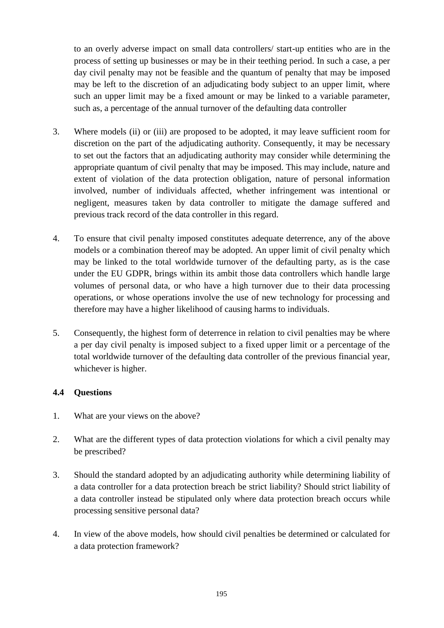to an overly adverse impact on small data controllers/ start-up entities who are in the process of setting up businesses or may be in their teething period. In such a case, a per day civil penalty may not be feasible and the quantum of penalty that may be imposed may be left to the discretion of an adjudicating body subject to an upper limit, where such an upper limit may be a fixed amount or may be linked to a variable parameter, such as, a percentage of the annual turnover of the defaulting data controller

- 3. Where models (ii) or (iii) are proposed to be adopted, it may leave sufficient room for discretion on the part of the adjudicating authority. Consequently, it may be necessary to set out the factors that an adjudicating authority may consider while determining the appropriate quantum of civil penalty that may be imposed. This may include, nature and extent of violation of the data protection obligation, nature of personal information involved, number of individuals affected, whether infringement was intentional or negligent, measures taken by data controller to mitigate the damage suffered and previous track record of the data controller in this regard.
- 4. To ensure that civil penalty imposed constitutes adequate deterrence, any of the above models or a combination thereof may be adopted. An upper limit of civil penalty which may be linked to the total worldwide turnover of the defaulting party, as is the case under the EU GDPR, brings within its ambit those data controllers which handle large volumes of personal data, or who have a high turnover due to their data processing operations, or whose operations involve the use of new technology for processing and therefore may have a higher likelihood of causing harms to individuals.
- 5. Consequently, the highest form of deterrence in relation to civil penalties may be where a per day civil penalty is imposed subject to a fixed upper limit or a percentage of the total worldwide turnover of the defaulting data controller of the previous financial year, whichever is higher.

### **4.4 Questions**

- 1. What are your views on the above?
- 2. What are the different types of data protection violations for which a civil penalty may be prescribed?
- 3. Should the standard adopted by an adjudicating authority while determining liability of a data controller for a data protection breach be strict liability? Should strict liability of a data controller instead be stipulated only where data protection breach occurs while processing sensitive personal data?
- 4. In view of the above models, how should civil penalties be determined or calculated for a data protection framework?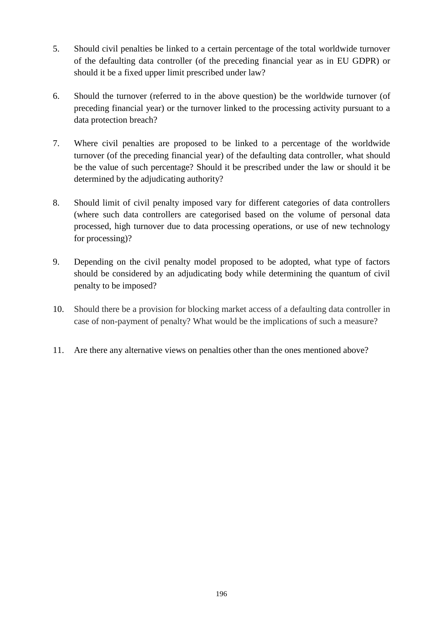- 5. Should civil penalties be linked to a certain percentage of the total worldwide turnover of the defaulting data controller (of the preceding financial year as in EU GDPR) or should it be a fixed upper limit prescribed under law?
- 6. Should the turnover (referred to in the above question) be the worldwide turnover (of preceding financial year) or the turnover linked to the processing activity pursuant to a data protection breach?
- 7. Where civil penalties are proposed to be linked to a percentage of the worldwide turnover (of the preceding financial year) of the defaulting data controller, what should be the value of such percentage? Should it be prescribed under the law or should it be determined by the adjudicating authority?
- 8. Should limit of civil penalty imposed vary for different categories of data controllers (where such data controllers are categorised based on the volume of personal data processed, high turnover due to data processing operations, or use of new technology for processing)?
- 9. Depending on the civil penalty model proposed to be adopted, what type of factors should be considered by an adjudicating body while determining the quantum of civil penalty to be imposed?
- 10. Should there be a provision for blocking market access of a defaulting data controller in case of non-payment of penalty? What would be the implications of such a measure?
- 11. Are there any alternative views on penalties other than the ones mentioned above?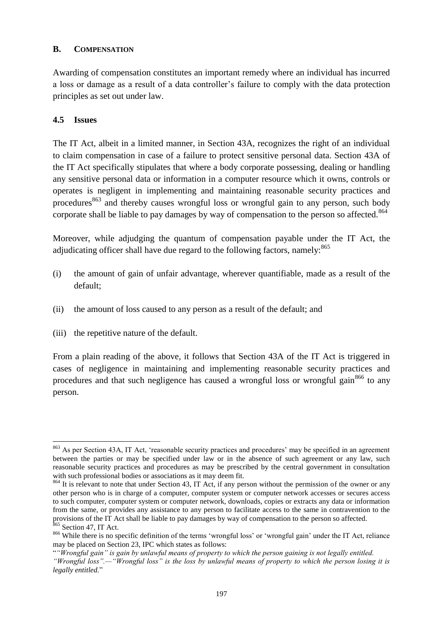### **B. COMPENSATION**

Awarding of compensation constitutes an important remedy where an individual has incurred a loss or damage as a result of a data controller's failure to comply with the data protection principles as set out under law.

### **4.5 Issues**

The IT Act, albeit in a limited manner, in Section 43A, recognizes the right of an individual to claim compensation in case of a failure to protect sensitive personal data. Section 43A of the IT Act specifically stipulates that where a body corporate possessing, dealing or handling any sensitive personal data or information in a computer resource which it owns, controls or operates is negligent in implementing and maintaining reasonable security practices and procedures<sup>863</sup> and thereby causes wrongful loss or wrongful gain to any person, such body corporate shall be liable to pay damages by way of compensation to the person so affected.<sup>864</sup>

Moreover, while adjudging the quantum of compensation payable under the IT Act, the adjudicating officer shall have due regard to the following factors, namely: $865$ 

- (i) the amount of gain of unfair advantage, wherever quantifiable, made as a result of the default;
- (ii) the amount of loss caused to any person as a result of the default; and
- (iii) the repetitive nature of the default.

From a plain reading of the above, it follows that Section 43A of the IT Act is triggered in cases of negligence in maintaining and implementing reasonable security practices and procedures and that such negligence has caused a wrongful loss or wrongful gain<sup>866</sup> to any person.

 $\overline{a}$ <sup>863</sup> As per Section 43A, IT Act, 'reasonable security practices and procedures' may be specified in an agreement between the parties or may be specified under law or in the absence of such agreement or any law, such reasonable security practices and procedures as may be prescribed by the central government in consultation with such professional bodies or associations as it may deem fit.

 $864$  It is relevant to note that under Section 43, IT Act, if any person without the permission of the owner or any other person who is in charge of a computer, computer system or computer network accesses or secures access to such computer, computer system or computer network, downloads, copies or extracts any data or information from the same, or provides any assistance to any person to facilitate access to the same in contravention to the provisions of the IT Act shall be liable to pay damages by way of compensation to the person so affected.  $865$  Section 47, IT Act.

<sup>866</sup> While there is no specific definition of the terms 'wrongful loss' or 'wrongful gain' under the IT Act, reliance may be placed on Section 23, IPC which states as follows:

<sup>―</sup>*"Wrongful gain" is gain by unlawful means of property to which the person gaining is not legally entitled.*

*<sup>&</sup>quot;Wrongful loss".—"Wrongful loss" is the loss by unlawful means of property to which the person losing it is legally entitled.*‖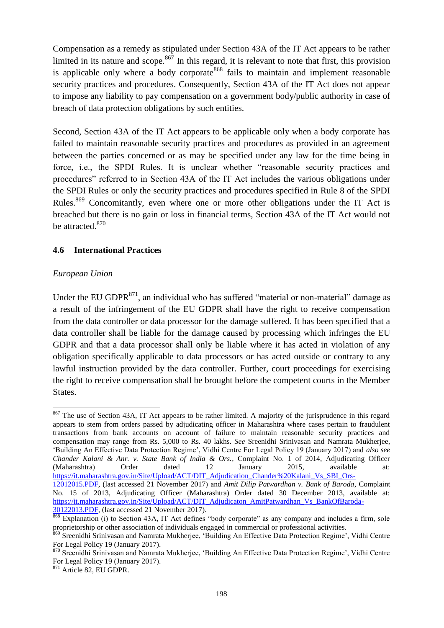Compensation as a remedy as stipulated under Section 43A of the IT Act appears to be rather limited in its nature and scope.<sup>867</sup> In this regard, it is relevant to note that first, this provision is applicable only where a body corporate  $868$  fails to maintain and implement reasonable security practices and procedures. Consequently, Section 43A of the IT Act does not appear to impose any liability to pay compensation on a government body/public authority in case of breach of data protection obligations by such entities.

Second, Section 43A of the IT Act appears to be applicable only when a body corporate has failed to maintain reasonable security practices and procedures as provided in an agreement between the parties concerned or as may be specified under any law for the time being in force, i.e., the SPDI Rules. It is unclear whether "reasonable security practices and procedures‖ referred to in Section 43A of the IT Act includes the various obligations under the SPDI Rules or only the security practices and procedures specified in Rule 8 of the SPDI Rules.<sup>869</sup> Concomitantly, even where one or more other obligations under the IT Act is breached but there is no gain or loss in financial terms, Section 43A of the IT Act would not be attracted.<sup>870</sup>

### **4.6 International Practices**

#### *European Union*

Under the EU GDPR $^{871}$ , an individual who has suffered "material or non-material" damage as a result of the infringement of the EU GDPR shall have the right to receive compensation from the data controller or data processor for the damage suffered. It has been specified that a data controller shall be liable for the damage caused by processing which infringes the EU GDPR and that a data processor shall only be liable where it has acted in violation of any obligation specifically applicable to data processors or has acted outside or contrary to any lawful instruction provided by the data controller. Further, court proceedings for exercising the right to receive compensation shall be brought before the competent courts in the Member States.

 $\overline{a}$ <sup>867</sup> The use of Section 43A, IT Act appears to be rather limited. A majority of the jurisprudence in this regard appears to stem from orders passed by adjudicating officer in Maharashtra where cases pertain to fraudulent transactions from bank accounts on account of failure to maintain reasonable security practices and compensation may range from Rs. 5,000 to Rs. 40 lakhs. *See* Sreenidhi Srinivasan and Namrata Mukherjee, ‗Building An Effective Data Protection Regime', Vidhi Centre For Legal Policy 19 (January 2017) and *also see Chander Kalani & Anr. v. State Bank of India & Ors.*, Complaint No. 1 of 2014, Adjudicating Officer (Maharashtra) Order dated 12 January 2015, available at: [https://it.maharashtra.gov.in/Site/Upload/ACT/DIT\\_Adjudication\\_Chander%20Kalani\\_Vs\\_SBI\\_Ors-](https://it.maharashtra.gov.in/Site/Upload/ACT/DIT_Adjudication_Chander%20Kalani_Vs_SBI_Ors-12012015.PDF)

[<sup>12012015.</sup>PDF,](https://it.maharashtra.gov.in/Site/Upload/ACT/DIT_Adjudication_Chander%20Kalani_Vs_SBI_Ors-12012015.PDF) (last accessed 21 November 2017) and *Amit Dilip Patwardhan v. Bank of Baroda*, Complaint No. 15 of 2013, Adjudicating Officer (Maharashtra) Order dated 30 December 2013, available at: [https://it.maharashtra.gov.in/Site/Upload/ACT/DIT\\_Adjudicaton\\_AmitPatwardhan\\_Vs\\_BankOfBaroda-](https://it.maharashtra.gov.in/Site/Upload/ACT/DIT_Adjudicaton_AmitPatwardhan_Vs_BankOfBaroda-30122013.PDF)[30122013.PDF,](https://it.maharashtra.gov.in/Site/Upload/ACT/DIT_Adjudicaton_AmitPatwardhan_Vs_BankOfBaroda-30122013.PDF) (last accessed 21 November 2017).

 $\frac{868}{2}$  Explanation (i) to Section 43A, IT Act defines "body corporate" as any company and includes a firm, sole proprietorship or other association of individuals engaged in commercial or professional activities.

<sup>&</sup>lt;sup>869</sup> Sreenidhi Srinivasan and Namrata Mukherjee, 'Building An Effective Data Protection Regime', Vidhi Centre For Legal Policy 19 (January 2017).

<sup>870</sup> Sreenidhi Srinivasan and Namrata Mukherjee, 'Building An Effective Data Protection Regime', Vidhi Centre For Legal Policy 19 (January 2017).

<sup>871</sup> Article 82, EU GDPR.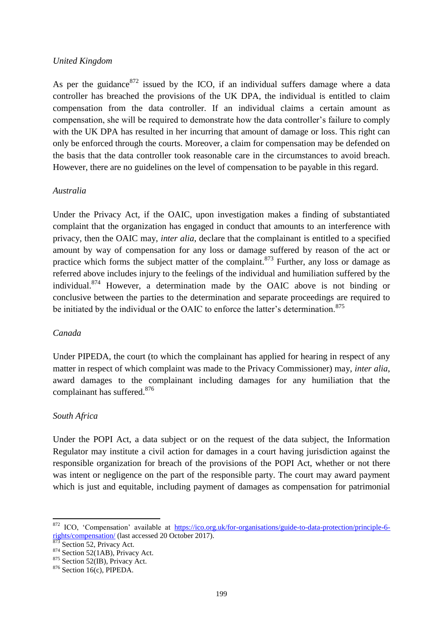#### *United Kingdom*

As per the guidance  $872$  issued by the ICO, if an individual suffers damage where a data controller has breached the provisions of the UK DPA, the individual is entitled to claim compensation from the data controller. If an individual claims a certain amount as compensation, she will be required to demonstrate how the data controller's failure to comply with the UK DPA has resulted in her incurring that amount of damage or loss. This right can only be enforced through the courts. Moreover, a claim for compensation may be defended on the basis that the data controller took reasonable care in the circumstances to avoid breach. However, there are no guidelines on the level of compensation to be payable in this regard.

#### *Australia*

Under the Privacy Act, if the OAIC, upon investigation makes a finding of substantiated complaint that the organization has engaged in conduct that amounts to an interference with privacy, then the OAIC may, *inter alia*, declare that the complainant is entitled to a specified amount by way of compensation for any loss or damage suffered by reason of the act or practice which forms the subject matter of the complaint.<sup>873</sup> Further, any loss or damage as referred above includes injury to the feelings of the individual and humiliation suffered by the individual.<sup>874</sup> However, a determination made by the OAIC above is not binding or conclusive between the parties to the determination and separate proceedings are required to be initiated by the individual or the OAIC to enforce the latter's determination.<sup>875</sup>

#### *Canada*

Under PIPEDA, the court (to which the complainant has applied for hearing in respect of any matter in respect of which complaint was made to the Privacy Commissioner) may, *inter alia*, award damages to the complainant including damages for any humiliation that the complainant has suffered.<sup>876</sup>

#### *South Africa*

 $\overline{a}$ 

Under the POPI Act, a data subject or on the request of the data subject, the Information Regulator may institute a civil action for damages in a court having jurisdiction against the responsible organization for breach of the provisions of the POPI Act, whether or not there was intent or negligence on the part of the responsible party. The court may award payment which is just and equitable, including payment of damages as compensation for patrimonial

<sup>872</sup> ICO, 'Compensation' available at [https://ico.org.uk/for-organisations/guide-to-data-protection/principle-6](https://ico.org.uk/for-organisations/guide-to-data-protection/principle-6-rights/compensation/(last) [rights/compensation/](https://ico.org.uk/for-organisations/guide-to-data-protection/principle-6-rights/compensation/(last) [\(last](https://ico.org.uk/for-organisations/guide-to-data-protection/principle-6-rights/compensation/(last) accessed 20 October 2017).

 $\frac{1}{873}$  Section 52, Privacy Act.

<sup>874</sup> Section 52(1AB), Privacy Act.

 $875$  Section 52(IB), Privacy Act.

 $876$  Section 16(c), PIPEDA.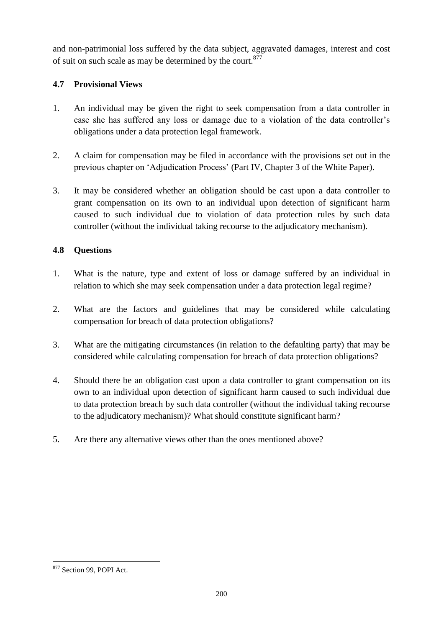and non-patrimonial loss suffered by the data subject, aggravated damages, interest and cost of suit on such scale as may be determined by the court.<sup>877</sup>

## **4.7 Provisional Views**

- 1. An individual may be given the right to seek compensation from a data controller in case she has suffered any loss or damage due to a violation of the data controller's obligations under a data protection legal framework.
- 2. A claim for compensation may be filed in accordance with the provisions set out in the previous chapter on ‗Adjudication Process' (Part IV, Chapter 3 of the White Paper).
- 3. It may be considered whether an obligation should be cast upon a data controller to grant compensation on its own to an individual upon detection of significant harm caused to such individual due to violation of data protection rules by such data controller (without the individual taking recourse to the adjudicatory mechanism).

## **4.8 Questions**

- 1. What is the nature, type and extent of loss or damage suffered by an individual in relation to which she may seek compensation under a data protection legal regime?
- 2. What are the factors and guidelines that may be considered while calculating compensation for breach of data protection obligations?
- 3. What are the mitigating circumstances (in relation to the defaulting party) that may be considered while calculating compensation for breach of data protection obligations?
- 4. Should there be an obligation cast upon a data controller to grant compensation on its own to an individual upon detection of significant harm caused to such individual due to data protection breach by such data controller (without the individual taking recourse to the adjudicatory mechanism)? What should constitute significant harm?
- 5. Are there any alternative views other than the ones mentioned above?

 $\overline{\phantom{a}}$ 877 Section 99, POPI Act.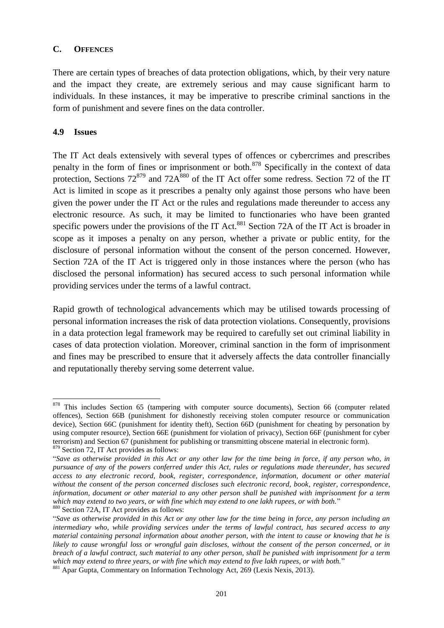### **C. OFFENCES**

There are certain types of breaches of data protection obligations, which, by their very nature and the impact they create, are extremely serious and may cause significant harm to individuals. In these instances, it may be imperative to prescribe criminal sanctions in the form of punishment and severe fines on the data controller.

### **4.9 Issues**

The IT Act deals extensively with several types of offences or cybercrimes and prescribes penalty in the form of fines or imprisonment or both.<sup>878</sup> Specifically in the context of data protection, Sections  $72^{879}$  and  $72A^{880}$  of the IT Act offer some redress. Section 72 of the IT Act is limited in scope as it prescribes a penalty only against those persons who have been given the power under the IT Act or the rules and regulations made thereunder to access any electronic resource. As such, it may be limited to functionaries who have been granted specific powers under the provisions of the IT Act.<sup>881</sup> Section 72A of the IT Act is broader in scope as it imposes a penalty on any person, whether a private or public entity, for the disclosure of personal information without the consent of the person concerned. However, Section 72A of the IT Act is triggered only in those instances where the person (who has disclosed the personal information) has secured access to such personal information while providing services under the terms of a lawful contract.

Rapid growth of technological advancements which may be utilised towards processing of personal information increases the risk of data protection violations. Consequently, provisions in a data protection legal framework may be required to carefully set out criminal liability in cases of data protection violation. Moreover, criminal sanction in the form of imprisonment and fines may be prescribed to ensure that it adversely affects the data controller financially and reputationally thereby serving some deterrent value.

 $\overline{\phantom{a}}$ 878 This includes Section 65 (tampering with computer source documents), Section 66 (computer related offences), Section 66B (punishment for dishonestly receiving stolen computer resource or communication device), Section 66C (punishment for identity theft), Section 66D (punishment for cheating by personation by using computer resource), Section 66E (punishment for violation of privacy), Section 66F (punishment for cyber terrorism) and Section 67 (punishment for publishing or transmitting obscene material in electronic form). <sup>879</sup> Section 72, IT Act provides as follows:

<sup>―</sup>*Save as otherwise provided in this Act or any other law for the time being in force, if any person who, in pursuance of any of the powers conferred under this Act, rules or regulations made thereunder, has secured access to any electronic record, book, register, correspondence, information, document or other material without the consent of the person concerned discloses such electronic record, book, register, correspondence, information, document or other material to any other person shall be punished with imprisonment for a term*  which may extend to two years, or with fine which may extend to one lakh rupees, or with both." <sup>880</sup> Section 72A, IT Act provides as follows:

<sup>―</sup>*Save as otherwise provided in this Act or any other law for the time being in force, any person including an intermediary who, while providing services under the terms of lawful contract, has secured access to any material containing personal information about another person, with the intent to cause or knowing that he is likely to cause wrongful loss or wrongful gain discloses, without the consent of the person concerned, or in breach of a lawful contract, such material to any other person, shall be punished with imprisonment for a term*  which may extend to three years, or with fine which may extend to five lakh rupees, or with both." <sup>881</sup> Apar Gupta, Commentary on Information Technology Act, 269 (Lexis Nexis, 2013).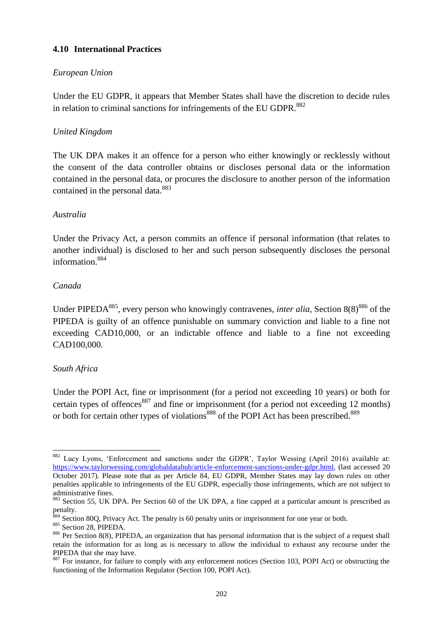### **4.10 International Practices**

#### *European Union*

Under the EU GDPR, it appears that Member States shall have the discretion to decide rules in relation to criminal sanctions for infringements of the EU GDPR. $882$ 

### *United Kingdom*

The UK DPA makes it an offence for a person who either knowingly or recklessly without the consent of the data controller obtains or discloses personal data or the information contained in the personal data, or procures the disclosure to another person of the information contained in the personal data.<sup>883</sup>

#### *Australia*

Under the Privacy Act, a person commits an offence if personal information (that relates to another individual) is disclosed to her and such person subsequently discloses the personal information.<sup>884</sup>

#### *Canada*

Under PIPEDA<sup>885</sup>, every person who knowingly contravenes, *inter alia*, Section 8(8)<sup>886</sup> of the PIPEDA is guilty of an offence punishable on summary conviction and liable to a fine not exceeding CAD10,000, or an indictable offence and liable to a fine not exceeding CAD100,000.

#### *South Africa*

Under the POPI Act, fine or imprisonment (for a period not exceeding 10 years) or both for certain types of offences  $887$  and fine or imprisonment (for a period not exceeding 12 months) or both for certain other types of violations<sup>888</sup> of the POPI Act has been prescribed.<sup>889</sup>

 $\overline{\phantom{a}}$  $882$  Lucy Lyons, 'Enforcement and sanctions under the GDPR', Taylor Wessing (April 2016) available at: [https://www.taylorwessing.com/globaldatahub/article-enforcement-sanctions-under-gdpr.html,](https://www.taylorwessing.com/globaldatahub/article-enforcement-sanctions-under-gdpr.html) (last accessed 20 October 2017). Please note that as per Article 84, EU GDPR, Member States may lay down rules on other penalties applicable to infringements of the EU GDPR, especially those infringements, which are not subject to administrative fines.

<sup>883</sup> Section 55, UK DPA. Per Section 60 of the UK DPA, a fine capped at a particular amount is prescribed as penalty.

<sup>&</sup>lt;sup>884</sup> Section 80Q, Privacy Act. The penalty is 60 penalty units or imprisonment for one year or both.

<sup>885</sup> Section 28, PIPEDA.

<sup>886</sup> Per Section 8(8), PIPEDA, an organization that has personal information that is the subject of a request shall retain the information for as long as is necessary to allow the individual to exhaust any recourse under the PIPEDA that she may have.

<sup>&</sup>lt;sup>887</sup> For instance, for failure to comply with any enforcement notices (Section 103, POPI Act) or obstructing the functioning of the Information Regulator (Section 100, POPI Act).